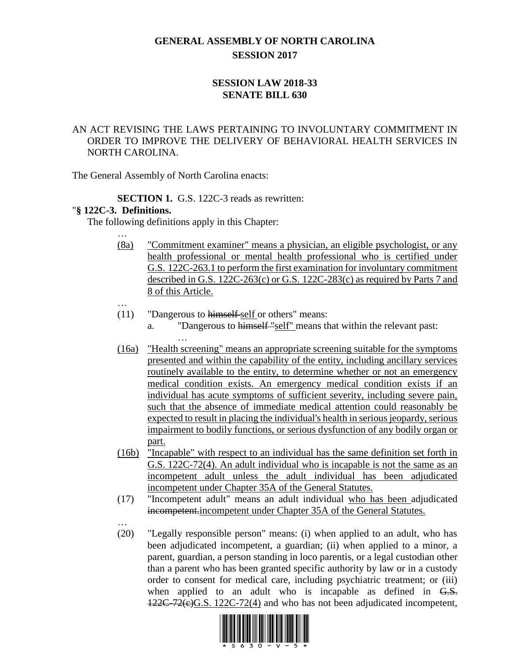# **GENERAL ASSEMBLY OF NORTH CAROLINA SESSION 2017**

# **SESSION LAW 2018-33 SENATE BILL 630**

# AN ACT REVISING THE LAWS PERTAINING TO INVOLUNTARY COMMITMENT IN ORDER TO IMPROVE THE DELIVERY OF BEHAVIORAL HEALTH SERVICES IN NORTH CAROLINA.

The General Assembly of North Carolina enacts:

…

**SECTION 1.** G.S. 122C-3 reads as rewritten: "**§ 122C-3. Definitions.**

The following definitions apply in this Chapter:

- … (8a) "Commitment examiner" means a physician, an eligible psychologist, or any health professional or mental health professional who is certified under G.S. 122C-263.1 to perform the first examination for involuntary commitment described in G.S. 122C-263(c) or G.S. 122C-283(c) as required by Parts 7 and 8 of this Article.
- (11) "Dangerous to himself self or others" means:
	- a. "Dangerous to himself "self" means that within the relevant past: …
- (16a) "Health screening" means an appropriate screening suitable for the symptoms presented and within the capability of the entity, including ancillary services routinely available to the entity, to determine whether or not an emergency medical condition exists. An emergency medical condition exists if an individual has acute symptoms of sufficient severity, including severe pain, such that the absence of immediate medical attention could reasonably be expected to result in placing the individual's health in serious jeopardy, serious impairment to bodily functions, or serious dysfunction of any bodily organ or part.
- (16b) "Incapable" with respect to an individual has the same definition set forth in G.S. 122C-72(4). An adult individual who is incapable is not the same as an incompetent adult unless the adult individual has been adjudicated incompetent under Chapter 35A of the General Statutes.
- (17) "Incompetent adult" means an adult individual who has been adjudicated incompetent.incompetent under Chapter 35A of the General Statutes.
- … (20) "Legally responsible person" means: (i) when applied to an adult, who has been adjudicated incompetent, a guardian; (ii) when applied to a minor, a parent, guardian, a person standing in loco parentis, or a legal custodian other than a parent who has been granted specific authority by law or in a custody order to consent for medical care, including psychiatric treatment; or (iii) when applied to an adult who is incapable as defined in G.S. 122C-72(e)G.S. 122C-72(4) and who has not been adjudicated incompetent,

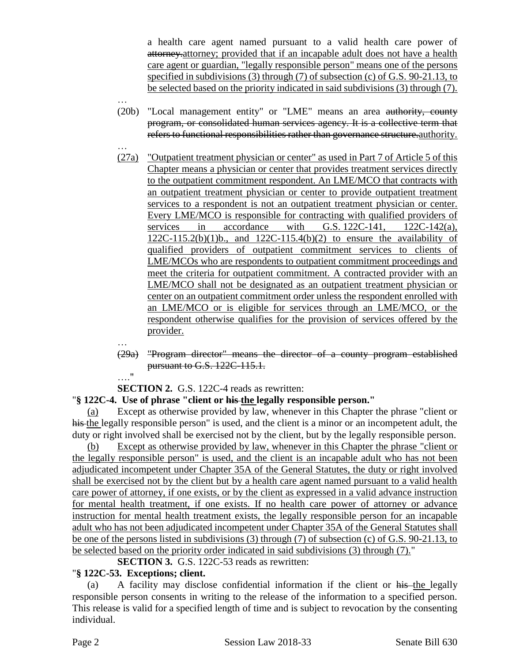a health care agent named pursuant to a valid health care power of attorney.attorney; provided that if an incapable adult does not have a health care agent or guardian, "legally responsible person" means one of the persons specified in subdivisions (3) through (7) of subsection (c) of G.S. 90-21.13, to be selected based on the priority indicated in said subdivisions (3) through (7).

- … (20b) "Local management entity" or "LME" means an area authority, county program, or consolidated human services agency. It is a collective term that refers to functional responsibilities rather than governance structure.authority.
- … (27a) "Outpatient treatment physician or center" as used in Part 7 of Article 5 of this Chapter means a physician or center that provides treatment services directly to the outpatient commitment respondent. An LME/MCO that contracts with an outpatient treatment physician or center to provide outpatient treatment services to a respondent is not an outpatient treatment physician or center. Every LME/MCO is responsible for contracting with qualified providers of services in accordance with G.S. 122C-141, 122C-142(a), 122C-115.2(b)(1)b., and 122C-115.4(b)(2) to ensure the availability of qualified providers of outpatient commitment services to clients of LME/MCOs who are respondents to outpatient commitment proceedings and meet the criteria for outpatient commitment. A contracted provider with an LME/MCO shall not be designated as an outpatient treatment physician or center on an outpatient commitment order unless the respondent enrolled with an LME/MCO or is eligible for services through an LME/MCO, or the respondent otherwise qualifies for the provision of services offered by the provider. …
- (29a) "Program director" means the director of a county program established pursuant to G.S. 122C-115.1. …."

**SECTION 2.** G.S. 122C-4 reads as rewritten:

# "**§ 122C-4. Use of phrase "client or his the legally responsible person."**

(a) Except as otherwise provided by law, whenever in this Chapter the phrase "client or his the legally responsible person" is used, and the client is a minor or an incompetent adult, the duty or right involved shall be exercised not by the client, but by the legally responsible person.

(b) Except as otherwise provided by law, whenever in this Chapter the phrase "client or the legally responsible person" is used, and the client is an incapable adult who has not been adjudicated incompetent under Chapter 35A of the General Statutes, the duty or right involved shall be exercised not by the client but by a health care agent named pursuant to a valid health care power of attorney, if one exists, or by the client as expressed in a valid advance instruction for mental health treatment, if one exists. If no health care power of attorney or advance instruction for mental health treatment exists, the legally responsible person for an incapable adult who has not been adjudicated incompetent under Chapter 35A of the General Statutes shall be one of the persons listed in subdivisions (3) through (7) of subsection (c) of G.S. 90-21.13, to be selected based on the priority order indicated in said subdivisions (3) through (7)."

**SECTION 3.** G.S. 122C-53 reads as rewritten:

# "**§ 122C-53. Exceptions; client.**

(a) A facility may disclose confidential information if the client or his the legally responsible person consents in writing to the release of the information to a specified person. This release is valid for a specified length of time and is subject to revocation by the consenting individual.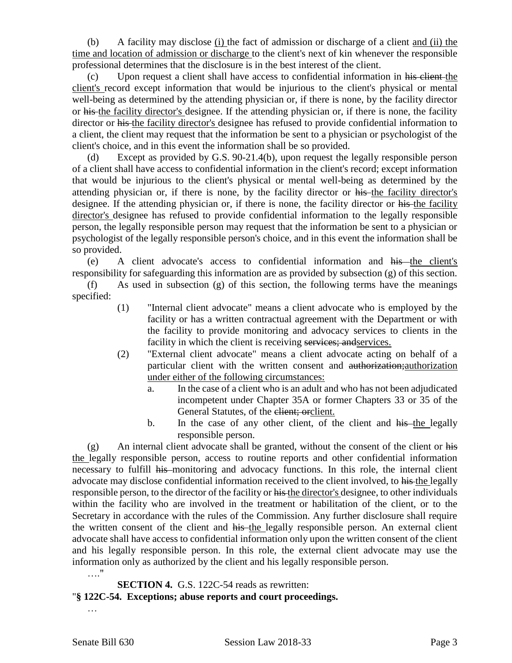(b) A facility may disclose (i) the fact of admission or discharge of a client and (ii) the time and location of admission or discharge to the client's next of kin whenever the responsible professional determines that the disclosure is in the best interest of the client.

(c) Upon request a client shall have access to confidential information in his client the client's record except information that would be injurious to the client's physical or mental well-being as determined by the attending physician or, if there is none, by the facility director or his the facility director's designee. If the attending physician or, if there is none, the facility director or his the facility director's designee has refused to provide confidential information to a client, the client may request that the information be sent to a physician or psychologist of the client's choice, and in this event the information shall be so provided.

(d) Except as provided by G.S. 90-21.4(b), upon request the legally responsible person of a client shall have access to confidential information in the client's record; except information that would be injurious to the client's physical or mental well-being as determined by the attending physician or, if there is none, by the facility director or his the facility director's designee. If the attending physician or, if there is none, the facility director or his the facility director's designee has refused to provide confidential information to the legally responsible person, the legally responsible person may request that the information be sent to a physician or psychologist of the legally responsible person's choice, and in this event the information shall be so provided.

(e) A client advocate's access to confidential information and his the client's responsibility for safeguarding this information are as provided by subsection (g) of this section.

(f) As used in subsection (g) of this section, the following terms have the meanings specified:

- (1) "Internal client advocate" means a client advocate who is employed by the facility or has a written contractual agreement with the Department or with the facility to provide monitoring and advocacy services to clients in the facility in which the client is receiving services; and services.
- (2) "External client advocate" means a client advocate acting on behalf of a particular client with the written consent and authorization;authorization under either of the following circumstances:
	- a. In the case of a client who is an adult and who has not been adjudicated incompetent under Chapter 35A or former Chapters 33 or 35 of the General Statutes, of the elient; orclient.
	- b. In the case of any other client, of the client and his the legally responsible person.

(g) An internal client advocate shall be granted, without the consent of the client or his the legally responsible person, access to routine reports and other confidential information necessary to fulfill his monitoring and advocacy functions. In this role, the internal client advocate may disclose confidential information received to the client involved, to his the legally responsible person, to the director of the facility or his the director's designee, to other individuals within the facility who are involved in the treatment or habilitation of the client, or to the Secretary in accordance with the rules of the Commission. Any further disclosure shall require the written consent of the client and his the legally responsible person. An external client advocate shall have access to confidential information only upon the written consent of the client and his legally responsible person. In this role, the external client advocate may use the information only as authorized by the client and his legally responsible person.

**SECTION 4.** G.S. 122C-54 reads as rewritten:

# "**§ 122C-54. Exceptions; abuse reports and court proceedings.**

…

…."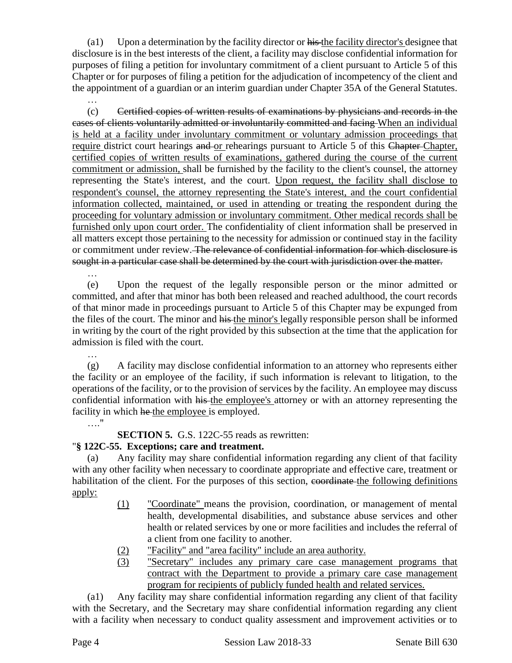(a1) Upon a determination by the facility director or  $\overline{h}$  the facility director's designee that disclosure is in the best interests of the client, a facility may disclose confidential information for purposes of filing a petition for involuntary commitment of a client pursuant to Article 5 of this Chapter or for purposes of filing a petition for the adjudication of incompetency of the client and the appointment of a guardian or an interim guardian under Chapter 35A of the General Statutes.

… (c) Certified copies of written results of examinations by physicians and records in the cases of clients voluntarily admitted or involuntarily committed and facing When an individual is held at a facility under involuntary commitment or voluntary admission proceedings that require district court hearings and or rehearings pursuant to Article 5 of this Chapter Chapter, certified copies of written results of examinations, gathered during the course of the current commitment or admission, shall be furnished by the facility to the client's counsel, the attorney representing the State's interest, and the court. Upon request, the facility shall disclose to respondent's counsel, the attorney representing the State's interest, and the court confidential information collected, maintained, or used in attending or treating the respondent during the proceeding for voluntary admission or involuntary commitment. Other medical records shall be furnished only upon court order. The confidentiality of client information shall be preserved in all matters except those pertaining to the necessity for admission or continued stay in the facility or commitment under review. The relevance of confidential information for which disclosure is sought in a particular case shall be determined by the court with jurisdiction over the matter.

… (e) Upon the request of the legally responsible person or the minor admitted or committed, and after that minor has both been released and reached adulthood, the court records of that minor made in proceedings pursuant to Article 5 of this Chapter may be expunged from the files of the court. The minor and his the minor's legally responsible person shall be informed in writing by the court of the right provided by this subsection at the time that the application for admission is filed with the court.

(g) A facility may disclose confidential information to an attorney who represents either the facility or an employee of the facility, if such information is relevant to litigation, to the operations of the facility, or to the provision of services by the facility. An employee may discuss confidential information with his the employee's attorney or with an attorney representing the facility in which he the employee is employed.

**SECTION 5.** G.S. 122C-55 reads as rewritten:

# "**§ 122C-55. Exceptions; care and treatment.**

(a) Any facility may share confidential information regarding any client of that facility with any other facility when necessary to coordinate appropriate and effective care, treatment or habilitation of the client. For the purposes of this section, coordinate the following definitions apply:

- (1) "Coordinate" means the provision, coordination, or management of mental health, developmental disabilities, and substance abuse services and other health or related services by one or more facilities and includes the referral of a client from one facility to another.
- (2) "Facility" and "area facility" include an area authority.
- (3) "Secretary" includes any primary care case management programs that contract with the Department to provide a primary care case management program for recipients of publicly funded health and related services.

(a1) Any facility may share confidential information regarding any client of that facility with the Secretary, and the Secretary may share confidential information regarding any client with a facility when necessary to conduct quality assessment and improvement activities or to

…

…."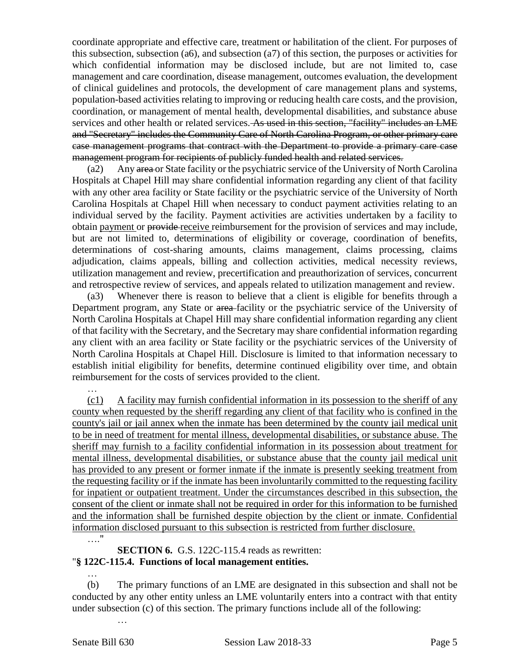coordinate appropriate and effective care, treatment or habilitation of the client. For purposes of this subsection, subsection (a6), and subsection (a7) of this section, the purposes or activities for which confidential information may be disclosed include, but are not limited to, case management and care coordination, disease management, outcomes evaluation, the development of clinical guidelines and protocols, the development of care management plans and systems, population-based activities relating to improving or reducing health care costs, and the provision, coordination, or management of mental health, developmental disabilities, and substance abuse services and other health or related services. As used in this section, "facility" includes an LME and "Secretary" includes the Community Care of North Carolina Program, or other primary care case management programs that contract with the Department to provide a primary care case management program for recipients of publicly funded health and related services.

(a2) Any area or State facility or the psychiatric service of the University of North Carolina Hospitals at Chapel Hill may share confidential information regarding any client of that facility with any other area facility or State facility or the psychiatric service of the University of North Carolina Hospitals at Chapel Hill when necessary to conduct payment activities relating to an individual served by the facility. Payment activities are activities undertaken by a facility to obtain payment or provide receive reimbursement for the provision of services and may include, but are not limited to, determinations of eligibility or coverage, coordination of benefits, determinations of cost-sharing amounts, claims management, claims processing, claims adjudication, claims appeals, billing and collection activities, medical necessity reviews, utilization management and review, precertification and preauthorization of services, concurrent and retrospective review of services, and appeals related to utilization management and review.

(a3) Whenever there is reason to believe that a client is eligible for benefits through a Department program, any State or area facility or the psychiatric service of the University of North Carolina Hospitals at Chapel Hill may share confidential information regarding any client of that facility with the Secretary, and the Secretary may share confidential information regarding any client with an area facility or State facility or the psychiatric services of the University of North Carolina Hospitals at Chapel Hill. Disclosure is limited to that information necessary to establish initial eligibility for benefits, determine continued eligibility over time, and obtain reimbursement for the costs of services provided to the client.

(c1) A facility may furnish confidential information in its possession to the sheriff of any county when requested by the sheriff regarding any client of that facility who is confined in the county's jail or jail annex when the inmate has been determined by the county jail medical unit to be in need of treatment for mental illness, developmental disabilities, or substance abuse. The sheriff may furnish to a facility confidential information in its possession about treatment for mental illness, developmental disabilities, or substance abuse that the county jail medical unit has provided to any present or former inmate if the inmate is presently seeking treatment from the requesting facility or if the inmate has been involuntarily committed to the requesting facility for inpatient or outpatient treatment. Under the circumstances described in this subsection, the consent of the client or inmate shall not be required in order for this information to be furnished and the information shall be furnished despite objection by the client or inmate. Confidential information disclosed pursuant to this subsection is restricted from further disclosure.  $\mathbf{u}$ 

**SECTION 6.** G.S. 122C-115.4 reads as rewritten: "**§ 122C-115.4. Functions of local management entities.**

… (b) The primary functions of an LME are designated in this subsection and shall not be conducted by any other entity unless an LME voluntarily enters into a contract with that entity under subsection (c) of this section. The primary functions include all of the following:

…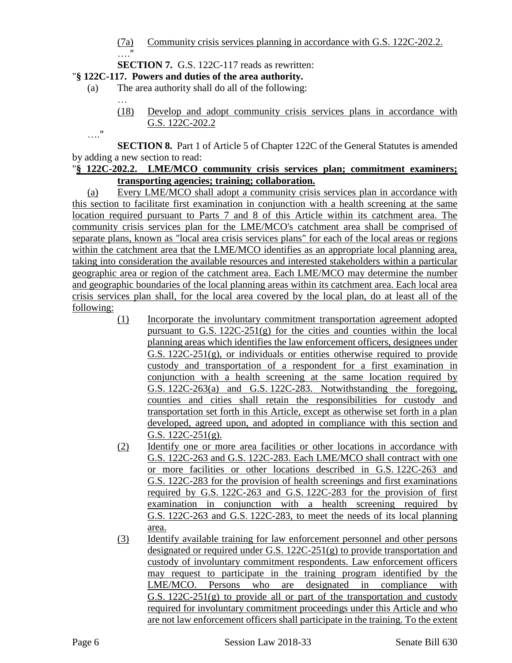(7a) Community crisis services planning in accordance with G.S. 122C-202.2. …<br>……

**SECTION 7.** G.S. 122C-117 reads as rewritten:

# "**§ 122C-117. Powers and duties of the area authority.**

- (a) The area authority shall do all of the following:
	- (18) Develop and adopt community crisis services plans in accordance with G.S. 122C-202.2

…

**SECTION 8.** Part 1 of Article 5 of Chapter 122C of the General Statutes is amended by adding a new section to read:

## "**§ 122C-202.2. LME/MCO community crisis services plan; commitment examiners; transporting agencies; training; collaboration.**

(a) Every LME/MCO shall adopt a community crisis services plan in accordance with this section to facilitate first examination in conjunction with a health screening at the same location required pursuant to Parts 7 and 8 of this Article within its catchment area. The community crisis services plan for the LME/MCO's catchment area shall be comprised of separate plans, known as "local area crisis services plans" for each of the local areas or regions within the catchment area that the LME/MCO identifies as an appropriate local planning area, taking into consideration the available resources and interested stakeholders within a particular geographic area or region of the catchment area. Each LME/MCO may determine the number and geographic boundaries of the local planning areas within its catchment area. Each local area crisis services plan shall, for the local area covered by the local plan, do at least all of the following:

- (1) Incorporate the involuntary commitment transportation agreement adopted pursuant to G.S. 122C-251(g) for the cities and counties within the local planning areas which identifies the law enforcement officers, designees under G.S. 122C-251(g), or individuals or entities otherwise required to provide custody and transportation of a respondent for a first examination in conjunction with a health screening at the same location required by G.S. 122C-263(a) and G.S. 122C-283. Notwithstanding the foregoing, counties and cities shall retain the responsibilities for custody and transportation set forth in this Article, except as otherwise set forth in a plan developed, agreed upon, and adopted in compliance with this section and G.S.  $122C-251(g)$ .
- (2) Identify one or more area facilities or other locations in accordance with G.S. 122C-263 and G.S. 122C-283. Each LME/MCO shall contract with one or more facilities or other locations described in G.S. 122C-263 and G.S. 122C-283 for the provision of health screenings and first examinations required by G.S. 122C-263 and G.S. 122C-283 for the provision of first examination in conjunction with a health screening required by G.S. 122C-263 and G.S. 122C-283, to meet the needs of its local planning area.
- (3) Identify available training for law enforcement personnel and other persons designated or required under G.S. 122C-251(g) to provide transportation and custody of involuntary commitment respondents. Law enforcement officers may request to participate in the training program identified by the LME/MCO. Persons who are designated in compliance with G.S. 122C-251(g) to provide all or part of the transportation and custody required for involuntary commitment proceedings under this Article and who are not law enforcement officers shall participate in the training. To the extent

<sup>….&</sup>quot;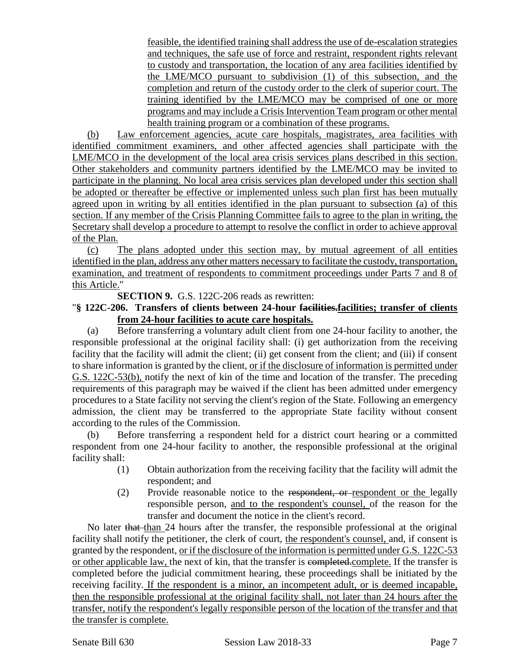feasible, the identified training shall address the use of de-escalation strategies and techniques, the safe use of force and restraint, respondent rights relevant to custody and transportation, the location of any area facilities identified by the LME/MCO pursuant to subdivision (1) of this subsection, and the completion and return of the custody order to the clerk of superior court. The training identified by the LME/MCO may be comprised of one or more programs and may include a Crisis Intervention Team program or other mental health training program or a combination of these programs.

(b) Law enforcement agencies, acute care hospitals, magistrates, area facilities with identified commitment examiners, and other affected agencies shall participate with the LME/MCO in the development of the local area crisis services plans described in this section. Other stakeholders and community partners identified by the LME/MCO may be invited to participate in the planning. No local area crisis services plan developed under this section shall be adopted or thereafter be effective or implemented unless such plan first has been mutually agreed upon in writing by all entities identified in the plan pursuant to subsection (a) of this section. If any member of the Crisis Planning Committee fails to agree to the plan in writing, the Secretary shall develop a procedure to attempt to resolve the conflict in order to achieve approval of the Plan.

(c) The plans adopted under this section may, by mutual agreement of all entities identified in the plan, address any other matters necessary to facilitate the custody, transportation, examination, and treatment of respondents to commitment proceedings under Parts 7 and 8 of this Article."

**SECTION 9.** G.S. 122C-206 reads as rewritten:

## "**§ 122C-206. Transfers of clients between 24-hour facilities.facilities; transfer of clients from 24-hour facilities to acute care hospitals.**

(a) Before transferring a voluntary adult client from one 24-hour facility to another, the responsible professional at the original facility shall: (i) get authorization from the receiving facility that the facility will admit the client; (ii) get consent from the client; and (iii) if consent to share information is granted by the client, or if the disclosure of information is permitted under G.S. 122C-53(b), notify the next of kin of the time and location of the transfer. The preceding requirements of this paragraph may be waived if the client has been admitted under emergency procedures to a State facility not serving the client's region of the State. Following an emergency admission, the client may be transferred to the appropriate State facility without consent according to the rules of the Commission.

(b) Before transferring a respondent held for a district court hearing or a committed respondent from one 24-hour facility to another, the responsible professional at the original facility shall:

- (1) Obtain authorization from the receiving facility that the facility will admit the respondent; and
- (2) Provide reasonable notice to the respondent, or respondent or the legally responsible person, and to the respondent's counsel, of the reason for the transfer and document the notice in the client's record.

No later that than 24 hours after the transfer, the responsible professional at the original facility shall notify the petitioner, the clerk of court, the respondent's counsel, and, if consent is granted by the respondent, or if the disclosure of the information is permitted under G.S. 122C-53 or other applicable law, the next of kin, that the transfer is completed.complete. If the transfer is completed before the judicial commitment hearing, these proceedings shall be initiated by the receiving facility. If the respondent is a minor, an incompetent adult, or is deemed incapable, then the responsible professional at the original facility shall, not later than 24 hours after the transfer, notify the respondent's legally responsible person of the location of the transfer and that the transfer is complete.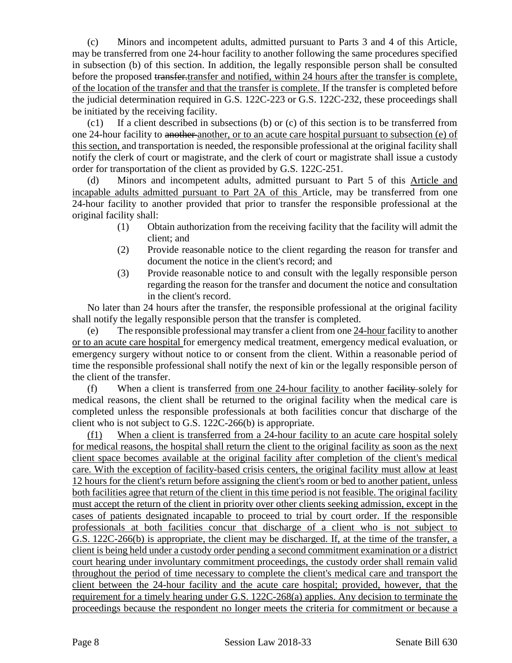(c) Minors and incompetent adults, admitted pursuant to Parts 3 and 4 of this Article, may be transferred from one 24-hour facility to another following the same procedures specified in subsection (b) of this section. In addition, the legally responsible person shall be consulted before the proposed transferture and notified, within 24 hours after the transfer is complete, of the location of the transfer and that the transfer is complete. If the transfer is completed before the judicial determination required in G.S. 122C-223 or G.S. 122C-232, these proceedings shall be initiated by the receiving facility.

 $(c1)$  If a client described in subsections (b) or  $(c)$  of this section is to be transferred from one 24-hour facility to another another, or to an acute care hospital pursuant to subsection (e) of this section, and transportation is needed, the responsible professional at the original facility shall notify the clerk of court or magistrate, and the clerk of court or magistrate shall issue a custody order for transportation of the client as provided by G.S. 122C-251.

(d) Minors and incompetent adults, admitted pursuant to Part 5 of this Article and incapable adults admitted pursuant to Part 2A of this Article, may be transferred from one 24-hour facility to another provided that prior to transfer the responsible professional at the original facility shall:

- (1) Obtain authorization from the receiving facility that the facility will admit the client; and
- (2) Provide reasonable notice to the client regarding the reason for transfer and document the notice in the client's record; and
- (3) Provide reasonable notice to and consult with the legally responsible person regarding the reason for the transfer and document the notice and consultation in the client's record.

No later than 24 hours after the transfer, the responsible professional at the original facility shall notify the legally responsible person that the transfer is completed.

(e) The responsible professional may transfer a client from one 24-hour facility to another or to an acute care hospital for emergency medical treatment, emergency medical evaluation, or emergency surgery without notice to or consent from the client. Within a reasonable period of time the responsible professional shall notify the next of kin or the legally responsible person of the client of the transfer.

(f) When a client is transferred from one 24-hour facility to another facility solely for medical reasons, the client shall be returned to the original facility when the medical care is completed unless the responsible professionals at both facilities concur that discharge of the client who is not subject to G.S. 122C-266(b) is appropriate.

(f1) When a client is transferred from a 24-hour facility to an acute care hospital solely for medical reasons, the hospital shall return the client to the original facility as soon as the next client space becomes available at the original facility after completion of the client's medical care. With the exception of facility-based crisis centers, the original facility must allow at least 12 hours for the client's return before assigning the client's room or bed to another patient, unless both facilities agree that return of the client in this time period is not feasible. The original facility must accept the return of the client in priority over other clients seeking admission, except in the cases of patients designated incapable to proceed to trial by court order. If the responsible professionals at both facilities concur that discharge of a client who is not subject to G.S. 122C-266(b) is appropriate, the client may be discharged. If, at the time of the transfer, a client is being held under a custody order pending a second commitment examination or a district court hearing under involuntary commitment proceedings, the custody order shall remain valid throughout the period of time necessary to complete the client's medical care and transport the client between the 24-hour facility and the acute care hospital; provided, however, that the requirement for a timely hearing under G.S. 122C-268(a) applies. Any decision to terminate the proceedings because the respondent no longer meets the criteria for commitment or because a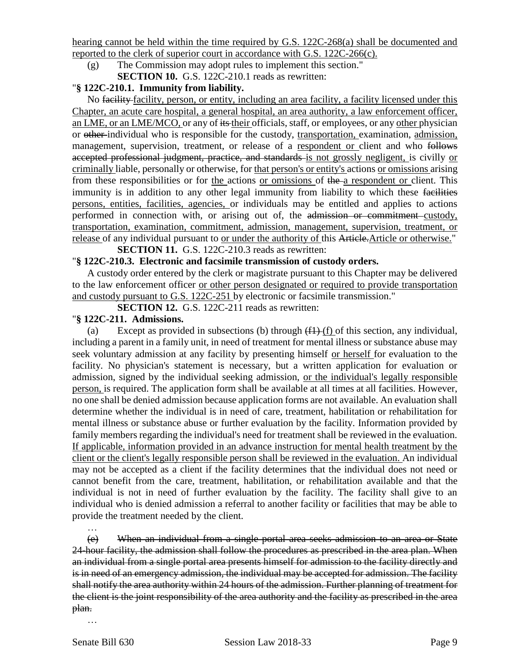hearing cannot be held within the time required by G.S. 122C-268(a) shall be documented and reported to the clerk of superior court in accordance with G.S. 122C-266(c).

- (g) The Commission may adopt rules to implement this section."
	- **SECTION 10.** G.S. 122C-210.1 reads as rewritten:

## "**§ 122C-210.1. Immunity from liability.**

No facility facility, person, or entity, including an area facility, a facility licensed under this Chapter, an acute care hospital, a general hospital, an area authority, a law enforcement officer, an LME, or an LME/MCO, or any of its their officials, staff, or employees, or any other physician or other individual who is responsible for the custody, transportation, examination, admission, management, supervision, treatment, or release of a respondent or client and who follows accepted professional judgment, practice, and standards is not grossly negligent, is civilly or criminally liable, personally or otherwise, for that person's or entity's actions or omissions arising from these responsibilities or for the actions or omissions of the a respondent or client. This immunity is in addition to any other legal immunity from liability to which these facilities persons, entities, facilities, agencies, or individuals may be entitled and applies to actions performed in connection with, or arising out of, the admission or commitment custody, transportation, examination, commitment, admission, management, supervision, treatment, or release of any individual pursuant to or under the authority of this Article.Article or otherwise."

### **SECTION 11.** G.S. 122C-210.3 reads as rewritten:

#### "**§ 122C-210.3. Electronic and facsimile transmission of custody orders.**

A custody order entered by the clerk or magistrate pursuant to this Chapter may be delivered to the law enforcement officer or other person designated or required to provide transportation and custody pursuant to G.S. 122C-251 by electronic or facsimile transmission."

**SECTION 12.** G.S. 122C-211 reads as rewritten:

#### "**§ 122C-211. Admissions.**

(a) Except as provided in subsections (b) through  $(f+)(f)$  of this section, any individual, including a parent in a family unit, in need of treatment for mental illness or substance abuse may seek voluntary admission at any facility by presenting himself or herself for evaluation to the facility. No physician's statement is necessary, but a written application for evaluation or admission, signed by the individual seeking admission, or the individual's legally responsible person, is required. The application form shall be available at all times at all facilities. However, no one shall be denied admission because application forms are not available. An evaluation shall determine whether the individual is in need of care, treatment, habilitation or rehabilitation for mental illness or substance abuse or further evaluation by the facility. Information provided by family members regarding the individual's need for treatment shall be reviewed in the evaluation. If applicable, information provided in an advance instruction for mental health treatment by the client or the client's legally responsible person shall be reviewed in the evaluation. An individual may not be accepted as a client if the facility determines that the individual does not need or cannot benefit from the care, treatment, habilitation, or rehabilitation available and that the individual is not in need of further evaluation by the facility. The facility shall give to an individual who is denied admission a referral to another facility or facilities that may be able to provide the treatment needed by the client.

(e) When an individual from a single portal area seeks admission to an area or State 24-hour facility, the admission shall follow the procedures as prescribed in the area plan. When an individual from a single portal area presents himself for admission to the facility directly and is in need of an emergency admission, the individual may be accepted for admission. The facility shall notify the area authority within 24 hours of the admission. Further planning of treatment for the client is the joint responsibility of the area authority and the facility as prescribed in the area plan.

…

…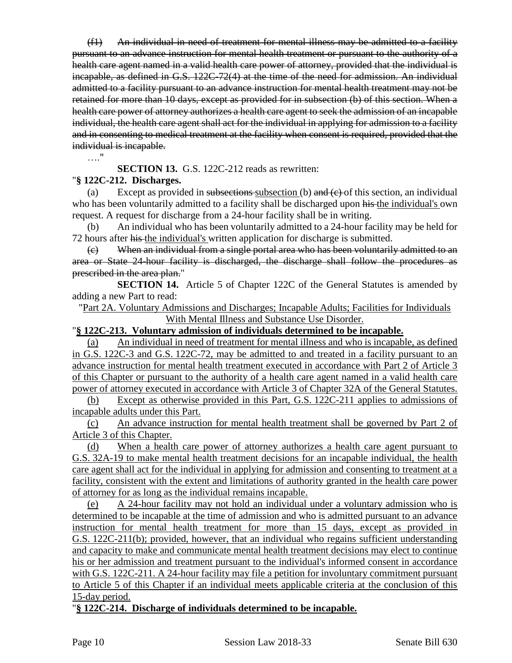(f1) An individual in need of treatment for mental illness may be admitted to a facility pursuant to an advance instruction for mental health treatment or pursuant to the authority of a health care agent named in a valid health care power of attorney, provided that the individual is incapable, as defined in G.S. 122C-72(4) at the time of the need for admission. An individual admitted to a facility pursuant to an advance instruction for mental health treatment may not be retained for more than 10 days, except as provided for in subsection (b) of this section. When a health care power of attorney authorizes a health care agent to seek the admission of an incapable individual, the health care agent shall act for the individual in applying for admission to a facility and in consenting to medical treatment at the facility when consent is required, provided that the individual is incapable.

…."

**SECTION 13.** G.S. 122C-212 reads as rewritten:

## "**§ 122C-212. Discharges.**

(a) Except as provided in subsections subsection (b) and  $(e)$  of this section, an individual who has been voluntarily admitted to a facility shall be discharged upon his the individual's own request. A request for discharge from a 24-hour facility shall be in writing.

(b) An individual who has been voluntarily admitted to a 24-hour facility may be held for 72 hours after his the individual's written application for discharge is submitted.

(c) When an individual from a single portal area who has been voluntarily admitted to an area or State 24-hour facility is discharged, the discharge shall follow the procedures as prescribed in the area plan."

**SECTION 14.** Article 5 of Chapter 122C of the General Statutes is amended by adding a new Part to read:

"Part 2A. Voluntary Admissions and Discharges; Incapable Adults; Facilities for Individuals With Mental Illness and Substance Use Disorder.

#### "**§ 122C-213. Voluntary admission of individuals determined to be incapable.**

(a) An individual in need of treatment for mental illness and who is incapable, as defined in G.S. 122C-3 and G.S. 122C-72, may be admitted to and treated in a facility pursuant to an advance instruction for mental health treatment executed in accordance with Part 2 of Article 3 of this Chapter or pursuant to the authority of a health care agent named in a valid health care power of attorney executed in accordance with Article 3 of Chapter 32A of the General Statutes.

(b) Except as otherwise provided in this Part, G.S. 122C-211 applies to admissions of incapable adults under this Part.

(c) An advance instruction for mental health treatment shall be governed by Part 2 of Article 3 of this Chapter.

(d) When a health care power of attorney authorizes a health care agent pursuant to G.S. 32A-19 to make mental health treatment decisions for an incapable individual, the health care agent shall act for the individual in applying for admission and consenting to treatment at a facility, consistent with the extent and limitations of authority granted in the health care power of attorney for as long as the individual remains incapable.

(e) A 24-hour facility may not hold an individual under a voluntary admission who is determined to be incapable at the time of admission and who is admitted pursuant to an advance instruction for mental health treatment for more than 15 days, except as provided in G.S. 122C-211(b); provided, however, that an individual who regains sufficient understanding and capacity to make and communicate mental health treatment decisions may elect to continue his or her admission and treatment pursuant to the individual's informed consent in accordance with G.S. 122C-211. A 24-hour facility may file a petition for involuntary commitment pursuant to Article 5 of this Chapter if an individual meets applicable criteria at the conclusion of this 15-day period.

"**§ 122C-214. Discharge of individuals determined to be incapable.**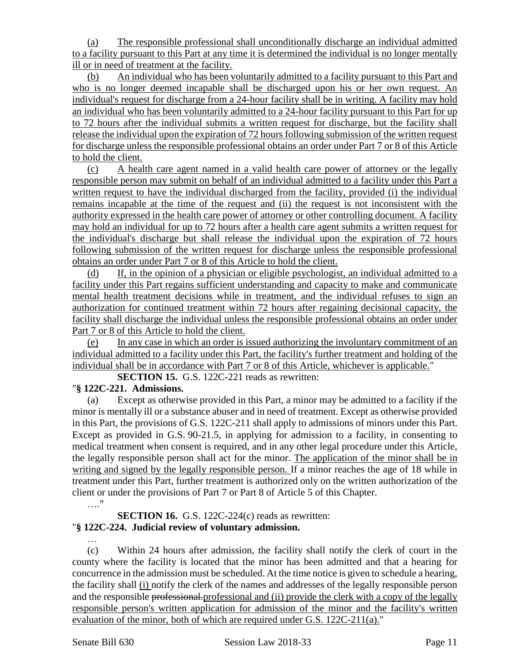(a) The responsible professional shall unconditionally discharge an individual admitted to a facility pursuant to this Part at any time it is determined the individual is no longer mentally ill or in need of treatment at the facility.

(b) An individual who has been voluntarily admitted to a facility pursuant to this Part and who is no longer deemed incapable shall be discharged upon his or her own request. An individual's request for discharge from a 24-hour facility shall be in writing. A facility may hold an individual who has been voluntarily admitted to a 24-hour facility pursuant to this Part for up to 72 hours after the individual submits a written request for discharge, but the facility shall release the individual upon the expiration of 72 hours following submission of the written request for discharge unless the responsible professional obtains an order under Part 7 or 8 of this Article to hold the client.

(c) A health care agent named in a valid health care power of attorney or the legally responsible person may submit on behalf of an individual admitted to a facility under this Part a written request to have the individual discharged from the facility, provided (i) the individual remains incapable at the time of the request and (ii) the request is not inconsistent with the authority expressed in the health care power of attorney or other controlling document. A facility may hold an individual for up to 72 hours after a health care agent submits a written request for the individual's discharge but shall release the individual upon the expiration of 72 hours following submission of the written request for discharge unless the responsible professional obtains an order under Part 7 or 8 of this Article to hold the client.

(d) If, in the opinion of a physician or eligible psychologist, an individual admitted to a facility under this Part regains sufficient understanding and capacity to make and communicate mental health treatment decisions while in treatment, and the individual refuses to sign an authorization for continued treatment within 72 hours after regaining decisional capacity, the facility shall discharge the individual unless the responsible professional obtains an order under Part 7 or 8 of this Article to hold the client.

(e) In any case in which an order is issued authorizing the involuntary commitment of an individual admitted to a facility under this Part, the facility's further treatment and holding of the individual shall be in accordance with Part 7 or 8 of this Article, whichever is applicable."

**SECTION 15.** G.S. 122C-221 reads as rewritten:

# "**§ 122C-221. Admissions.**

(a) Except as otherwise provided in this Part, a minor may be admitted to a facility if the minor is mentally ill or a substance abuser and in need of treatment. Except as otherwise provided in this Part, the provisions of G.S. 122C-211 shall apply to admissions of minors under this Part. Except as provided in G.S. 90-21.5, in applying for admission to a facility, in consenting to medical treatment when consent is required, and in any other legal procedure under this Article, the legally responsible person shall act for the minor. The application of the minor shall be in writing and signed by the legally responsible person. If a minor reaches the age of 18 while in treatment under this Part, further treatment is authorized only on the written authorization of the client or under the provisions of Part 7 or Part 8 of Article 5 of this Chapter.  $\mathbf{u}$ 

**SECTION 16.** G.S. 122C-224(c) reads as rewritten: "**§ 122C-224. Judicial review of voluntary admission.**

(c) Within 24 hours after admission, the facility shall notify the clerk of court in the county where the facility is located that the minor has been admitted and that a hearing for concurrence in the admission must be scheduled. At the time notice is given to schedule a hearing, the facility shall (i) notify the clerk of the names and addresses of the legally responsible person and the responsible professional.professional and (ii) provide the clerk with a copy of the legally responsible person's written application for admission of the minor and the facility's written evaluation of the minor, both of which are required under G.S. 122C-211(a)."

…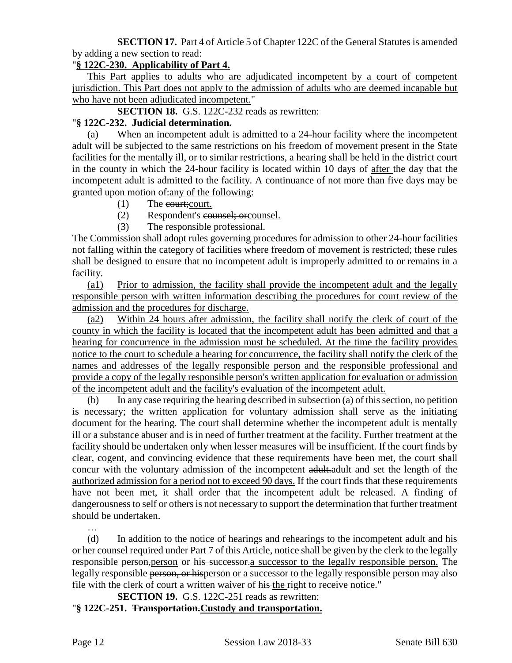**SECTION 17.** Part 4 of Article 5 of Chapter 122C of the General Statutes is amended by adding a new section to read:

## "**§ 122C-230. Applicability of Part 4.**

This Part applies to adults who are adjudicated incompetent by a court of competent jurisdiction. This Part does not apply to the admission of adults who are deemed incapable but who have not been adjudicated incompetent."

**SECTION 18.** G.S. 122C-232 reads as rewritten:

## "**§ 122C-232. Judicial determination.**

(a) When an incompetent adult is admitted to a 24-hour facility where the incompetent adult will be subjected to the same restrictions on his freedom of movement present in the State facilities for the mentally ill, or to similar restrictions, a hearing shall be held in the district court in the county in which the 24-hour facility is located within 10 days  $\theta$ -after the day that the incompetent adult is admitted to the facility. A continuance of not more than five days may be granted upon motion  $\theta$ : any of the following:

- (1) The court; court.
- (2) Respondent's counsel; orcounsel.
- (3) The responsible professional.

The Commission shall adopt rules governing procedures for admission to other 24-hour facilities not falling within the category of facilities where freedom of movement is restricted; these rules shall be designed to ensure that no incompetent adult is improperly admitted to or remains in a facility.

(a1) Prior to admission, the facility shall provide the incompetent adult and the legally responsible person with written information describing the procedures for court review of the admission and the procedures for discharge.

(a2) Within 24 hours after admission, the facility shall notify the clerk of court of the county in which the facility is located that the incompetent adult has been admitted and that a hearing for concurrence in the admission must be scheduled. At the time the facility provides notice to the court to schedule a hearing for concurrence, the facility shall notify the clerk of the names and addresses of the legally responsible person and the responsible professional and provide a copy of the legally responsible person's written application for evaluation or admission of the incompetent adult and the facility's evaluation of the incompetent adult.

(b) In any case requiring the hearing described in subsection (a) of this section, no petition is necessary; the written application for voluntary admission shall serve as the initiating document for the hearing. The court shall determine whether the incompetent adult is mentally ill or a substance abuser and is in need of further treatment at the facility. Further treatment at the facility should be undertaken only when lesser measures will be insufficient. If the court finds by clear, cogent, and convincing evidence that these requirements have been met, the court shall concur with the voluntary admission of the incompetent adult.adult and set the length of the authorized admission for a period not to exceed 90 days. If the court finds that these requirements have not been met, it shall order that the incompetent adult be released. A finding of dangerousness to self or others is not necessary to support the determination that further treatment should be undertaken.

… (d) In addition to the notice of hearings and rehearings to the incompetent adult and his or her counsel required under Part 7 of this Article, notice shall be given by the clerk to the legally responsible person, person or his successor a successor to the legally responsible person. The legally responsible person, or hisperson or a successor to the legally responsible person may also file with the clerk of court a written waiver of his the right to receive notice."

**SECTION 19.** G.S. 122C-251 reads as rewritten: "**§ 122C-251. Transportation.Custody and transportation.**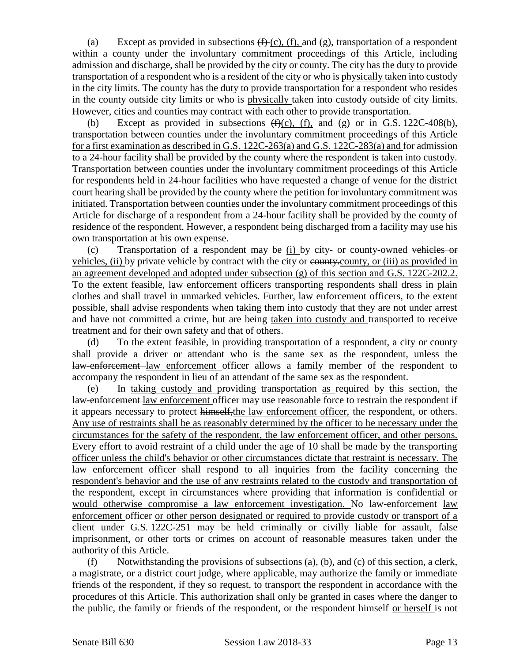(a) Except as provided in subsections  $(f+(c), (f),$  and  $(g)$ , transportation of a respondent within a county under the involuntary commitment proceedings of this Article, including admission and discharge, shall be provided by the city or county. The city has the duty to provide transportation of a respondent who is a resident of the city or who is physically taken into custody in the city limits. The county has the duty to provide transportation for a respondent who resides in the county outside city limits or who is physically taken into custody outside of city limits. However, cities and counties may contract with each other to provide transportation.

(b) Except as provided in subsections  $(f)(c)$ ,  $(f)$ , and  $(g)$  or in G.S. 122C-408(b), transportation between counties under the involuntary commitment proceedings of this Article for a first examination as described in G.S. 122C-263(a) and G.S. 122C-283(a) and for admission to a 24-hour facility shall be provided by the county where the respondent is taken into custody. Transportation between counties under the involuntary commitment proceedings of this Article for respondents held in 24-hour facilities who have requested a change of venue for the district court hearing shall be provided by the county where the petition for involuntary commitment was initiated. Transportation between counties under the involuntary commitment proceedings of this Article for discharge of a respondent from a 24-hour facility shall be provided by the county of residence of the respondent. However, a respondent being discharged from a facility may use his own transportation at his own expense.

(c) Transportation of a respondent may be (i) by city- or county-owned vehicles or vehicles, (ii) by private vehicle by contract with the city or county.county, or (iii) as provided in an agreement developed and adopted under subsection (g) of this section and G.S. 122C-202.2. To the extent feasible, law enforcement officers transporting respondents shall dress in plain clothes and shall travel in unmarked vehicles. Further, law enforcement officers, to the extent possible, shall advise respondents when taking them into custody that they are not under arrest and have not committed a crime, but are being taken into custody and transported to receive treatment and for their own safety and that of others.

(d) To the extent feasible, in providing transportation of a respondent, a city or county shall provide a driver or attendant who is the same sex as the respondent, unless the law-enforcement law enforcement officer allows a family member of the respondent to accompany the respondent in lieu of an attendant of the same sex as the respondent.

(e) In taking custody and providing transportation as required by this section, the law-enforcement law enforcement officer may use reasonable force to restrain the respondent if it appears necessary to protect himself, the law enforcement officer, the respondent, or others. Any use of restraints shall be as reasonably determined by the officer to be necessary under the circumstances for the safety of the respondent, the law enforcement officer, and other persons. Every effort to avoid restraint of a child under the age of 10 shall be made by the transporting officer unless the child's behavior or other circumstances dictate that restraint is necessary. The law enforcement officer shall respond to all inquiries from the facility concerning the respondent's behavior and the use of any restraints related to the custody and transportation of the respondent, except in circumstances where providing that information is confidential or would otherwise compromise a law enforcement investigation. No law-enforcement law enforcement officer or other person designated or required to provide custody or transport of a client under G.S. 122C-251 may be held criminally or civilly liable for assault, false imprisonment, or other torts or crimes on account of reasonable measures taken under the authority of this Article.

(f) Notwithstanding the provisions of subsections (a), (b), and (c) of this section, a clerk, a magistrate, or a district court judge, where applicable, may authorize the family or immediate friends of the respondent, if they so request, to transport the respondent in accordance with the procedures of this Article. This authorization shall only be granted in cases where the danger to the public, the family or friends of the respondent, or the respondent himself or herself is not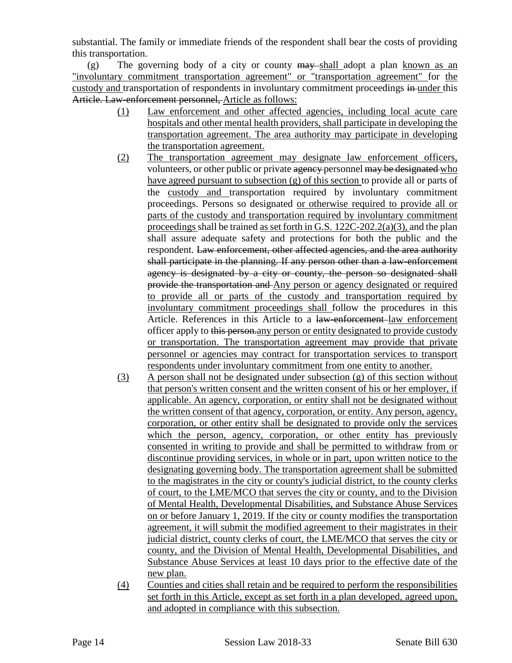substantial. The family or immediate friends of the respondent shall bear the costs of providing this transportation.

(g) The governing body of a city or county  $\frac{m}{w}$ -shall adopt a plan known as an "involuntary commitment transportation agreement" or "transportation agreement" for the custody and transportation of respondents in involuntary commitment proceedings in under this Article. Law-enforcement personnel, Article as follows:

- (1) Law enforcement and other affected agencies, including local acute care hospitals and other mental health providers, shall participate in developing the transportation agreement. The area authority may participate in developing the transportation agreement.
- (2) The transportation agreement may designate law enforcement officers, volunteers, or other public or private agency personnel may be designated who have agreed pursuant to subsection (g) of this section to provide all or parts of the custody and transportation required by involuntary commitment proceedings. Persons so designated or otherwise required to provide all or parts of the custody and transportation required by involuntary commitment proceedings shall be trained as set forth in G.S. 122C-202.2(a)(3), and the plan shall assure adequate safety and protections for both the public and the respondent. Law enforcement, other affected agencies, and the area authority shall participate in the planning. If any person other than a law-enforcement agency is designated by a city or county, the person so designated shall provide the transportation and Any person or agency designated or required to provide all or parts of the custody and transportation required by involuntary commitment proceedings shall follow the procedures in this Article. References in this Article to a law-enforcement law enforcement officer apply to this person.any person or entity designated to provide custody or transportation. The transportation agreement may provide that private personnel or agencies may contract for transportation services to transport respondents under involuntary commitment from one entity to another.
- (3) A person shall not be designated under subsection (g) of this section without that person's written consent and the written consent of his or her employer, if applicable. An agency, corporation, or entity shall not be designated without the written consent of that agency, corporation, or entity. Any person, agency, corporation, or other entity shall be designated to provide only the services which the person, agency, corporation, or other entity has previously consented in writing to provide and shall be permitted to withdraw from or discontinue providing services, in whole or in part, upon written notice to the designating governing body. The transportation agreement shall be submitted to the magistrates in the city or county's judicial district, to the county clerks of court, to the LME/MCO that serves the city or county, and to the Division of Mental Health, Developmental Disabilities, and Substance Abuse Services on or before January 1, 2019. If the city or county modifies the transportation agreement, it will submit the modified agreement to their magistrates in their judicial district, county clerks of court, the LME/MCO that serves the city or county, and the Division of Mental Health, Developmental Disabilities, and Substance Abuse Services at least 10 days prior to the effective date of the new plan.
- (4) Counties and cities shall retain and be required to perform the responsibilities set forth in this Article, except as set forth in a plan developed, agreed upon, and adopted in compliance with this subsection.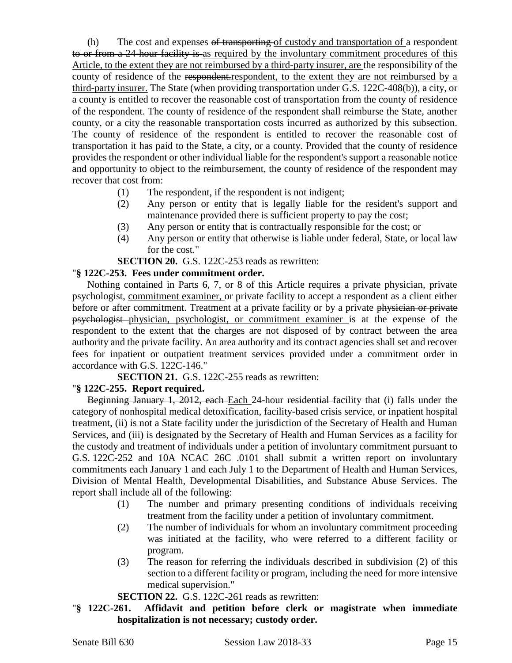$(h)$  The cost and expenses of transporting of custody and transportation of a respondent to or from a 24-hour facility is as required by the involuntary commitment procedures of this Article, to the extent they are not reimbursed by a third-party insurer, are the responsibility of the county of residence of the respondent.respondent, to the extent they are not reimbursed by a third-party insurer. The State (when providing transportation under G.S. 122C-408(b)), a city, or a county is entitled to recover the reasonable cost of transportation from the county of residence of the respondent. The county of residence of the respondent shall reimburse the State, another county, or a city the reasonable transportation costs incurred as authorized by this subsection. The county of residence of the respondent is entitled to recover the reasonable cost of transportation it has paid to the State, a city, or a county. Provided that the county of residence provides the respondent or other individual liable for the respondent's support a reasonable notice and opportunity to object to the reimbursement, the county of residence of the respondent may recover that cost from:

- (1) The respondent, if the respondent is not indigent;
- (2) Any person or entity that is legally liable for the resident's support and maintenance provided there is sufficient property to pay the cost;
- (3) Any person or entity that is contractually responsible for the cost; or
- (4) Any person or entity that otherwise is liable under federal, State, or local law for the cost."
- **SECTION 20.** G.S. 122C-253 reads as rewritten:

## "**§ 122C-253. Fees under commitment order.**

Nothing contained in Parts 6, 7, or 8 of this Article requires a private physician, private psychologist, commitment examiner, or private facility to accept a respondent as a client either before or after commitment. Treatment at a private facility or by a private physician or private psychologist physician, psychologist, or commitment examiner is at the expense of the respondent to the extent that the charges are not disposed of by contract between the area authority and the private facility. An area authority and its contract agencies shall set and recover fees for inpatient or outpatient treatment services provided under a commitment order in accordance with G.S. 122C-146."

# **SECTION 21.** G.S. 122C-255 reads as rewritten:

#### "**§ 122C-255. Report required.**

Beginning January 1, 2012, each Each 24-hour residential facility that (i) falls under the category of nonhospital medical detoxification, facility-based crisis service, or inpatient hospital treatment, (ii) is not a State facility under the jurisdiction of the Secretary of Health and Human Services, and (iii) is designated by the Secretary of Health and Human Services as a facility for the custody and treatment of individuals under a petition of involuntary commitment pursuant to G.S. 122C-252 and 10A NCAC 26C .0101 shall submit a written report on involuntary commitments each January 1 and each July 1 to the Department of Health and Human Services, Division of Mental Health, Developmental Disabilities, and Substance Abuse Services. The report shall include all of the following:

- (1) The number and primary presenting conditions of individuals receiving treatment from the facility under a petition of involuntary commitment.
- (2) The number of individuals for whom an involuntary commitment proceeding was initiated at the facility, who were referred to a different facility or program.
- (3) The reason for referring the individuals described in subdivision (2) of this section to a different facility or program, including the need for more intensive medical supervision."
- **SECTION 22.** G.S. 122C-261 reads as rewritten:
- "**§ 122C-261. Affidavit and petition before clerk or magistrate when immediate hospitalization is not necessary; custody order.**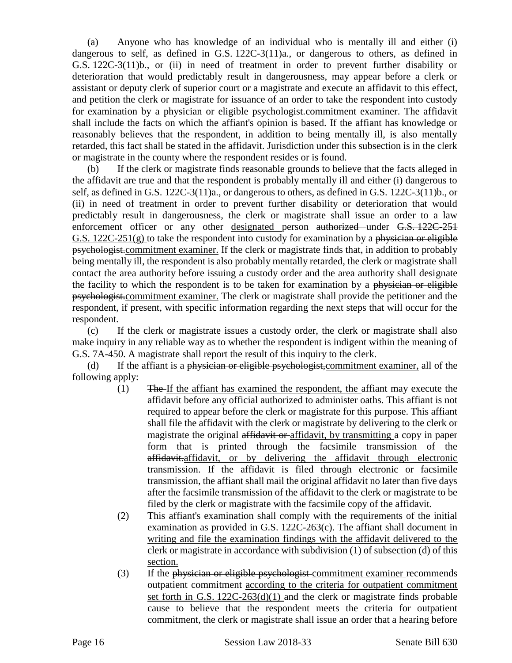(a) Anyone who has knowledge of an individual who is mentally ill and either (i) dangerous to self, as defined in G.S. 122C-3(11)a., or dangerous to others, as defined in G.S. 122C-3(11)b., or (ii) in need of treatment in order to prevent further disability or deterioration that would predictably result in dangerousness, may appear before a clerk or assistant or deputy clerk of superior court or a magistrate and execute an affidavit to this effect, and petition the clerk or magistrate for issuance of an order to take the respondent into custody for examination by a physician or eligible psychologist.commitment examiner. The affidavit shall include the facts on which the affiant's opinion is based. If the affiant has knowledge or reasonably believes that the respondent, in addition to being mentally ill, is also mentally retarded, this fact shall be stated in the affidavit. Jurisdiction under this subsection is in the clerk or magistrate in the county where the respondent resides or is found.

(b) If the clerk or magistrate finds reasonable grounds to believe that the facts alleged in the affidavit are true and that the respondent is probably mentally ill and either (i) dangerous to self, as defined in G.S. 122C-3(11)a., or dangerous to others, as defined in G.S. 122C-3(11)b., or (ii) in need of treatment in order to prevent further disability or deterioration that would predictably result in dangerousness, the clerk or magistrate shall issue an order to a law enforcement officer or any other designated person authorized under G.S. 122C-251 G.S.  $122C-251(g)$  to take the respondent into custody for examination by a physician or eligible psychologist.commitment examiner. If the clerk or magistrate finds that, in addition to probably being mentally ill, the respondent is also probably mentally retarded, the clerk or magistrate shall contact the area authority before issuing a custody order and the area authority shall designate the facility to which the respondent is to be taken for examination by a physician or eligible psychologist.commitment examiner. The clerk or magistrate shall provide the petitioner and the respondent, if present, with specific information regarding the next steps that will occur for the respondent.

(c) If the clerk or magistrate issues a custody order, the clerk or magistrate shall also make inquiry in any reliable way as to whether the respondent is indigent within the meaning of G.S. 7A-450. A magistrate shall report the result of this inquiry to the clerk.

(d) If the affiant is a physician or eligible psychologist,commitment examiner, all of the following apply:

- (1) The If the affiant has examined the respondent, the affiant may execute the affidavit before any official authorized to administer oaths. This affiant is not required to appear before the clerk or magistrate for this purpose. This affiant shall file the affidavit with the clerk or magistrate by delivering to the clerk or magistrate the original affidavit or affidavit, by transmitting a copy in paper form that is printed through the facsimile transmission of the affidavit.affidavit, or by delivering the affidavit through electronic transmission. If the affidavit is filed through electronic or facsimile transmission, the affiant shall mail the original affidavit no later than five days after the facsimile transmission of the affidavit to the clerk or magistrate to be filed by the clerk or magistrate with the facsimile copy of the affidavit.
- (2) This affiant's examination shall comply with the requirements of the initial examination as provided in G.S. 122C-263(c). The affiant shall document in writing and file the examination findings with the affidavit delivered to the clerk or magistrate in accordance with subdivision (1) of subsection (d) of this section.
- (3) If the physician or eligible psychologist commitment examiner recommends outpatient commitment according to the criteria for outpatient commitment set forth in G.S. 122C-263(d)(1) and the clerk or magistrate finds probable cause to believe that the respondent meets the criteria for outpatient commitment, the clerk or magistrate shall issue an order that a hearing before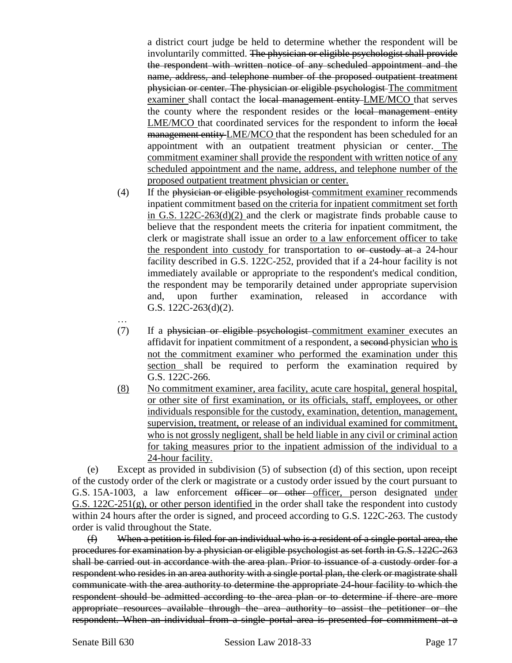a district court judge be held to determine whether the respondent will be involuntarily committed. The physician or eligible psychologist shall provide the respondent with written notice of any scheduled appointment and the name, address, and telephone number of the proposed outpatient treatment physician or center. The physician or eligible psychologist The commitment examiner shall contact the local management entity LME/MCO that serves the county where the respondent resides or the local management entity LME/MCO that coordinated services for the respondent to inform the local management entity LME/MCO that the respondent has been scheduled for an appointment with an outpatient treatment physician or center. The commitment examiner shall provide the respondent with written notice of any scheduled appointment and the name, address, and telephone number of the proposed outpatient treatment physician or center.

- (4) If the physician or eligible psychologist commitment examiner recommends inpatient commitment based on the criteria for inpatient commitment set forth in G.S. 122C-263(d)(2) and the clerk or magistrate finds probable cause to believe that the respondent meets the criteria for inpatient commitment, the clerk or magistrate shall issue an order to a law enforcement officer to take the respondent into custody for transportation to or custody at a 24-hour facility described in G.S. 122C-252, provided that if a 24-hour facility is not immediately available or appropriate to the respondent's medical condition, the respondent may be temporarily detained under appropriate supervision and, upon further examination, released in accordance with G.S. 122C-263(d)(2).
- … (7) If a physician or eligible psychologist commitment examiner executes an affidavit for inpatient commitment of a respondent, a second physician who is not the commitment examiner who performed the examination under this section shall be required to perform the examination required by G.S. 122C-266.
- (8) No commitment examiner, area facility, acute care hospital, general hospital, or other site of first examination, or its officials, staff, employees, or other individuals responsible for the custody, examination, detention, management, supervision, treatment, or release of an individual examined for commitment, who is not grossly negligent, shall be held liable in any civil or criminal action for taking measures prior to the inpatient admission of the individual to a 24-hour facility.

(e) Except as provided in subdivision (5) of subsection (d) of this section, upon receipt of the custody order of the clerk or magistrate or a custody order issued by the court pursuant to G.S. 15A-1003, a law enforcement officer or other officer, person designated under G.S. 122C-251(g), or other person identified in the order shall take the respondent into custody within 24 hours after the order is signed, and proceed according to G.S. 122C-263. The custody order is valid throughout the State.

(f) When a petition is filed for an individual who is a resident of a single portal area, the procedures for examination by a physician or eligible psychologist as set forth in G.S. 122C-263 shall be carried out in accordance with the area plan. Prior to issuance of a custody order for a respondent who resides in an area authority with a single portal plan, the clerk or magistrate shall communicate with the area authority to determine the appropriate 24-hour facility to which the respondent should be admitted according to the area plan or to determine if there are more appropriate resources available through the area authority to assist the petitioner or the respondent. When an individual from a single portal area is presented for commitment at a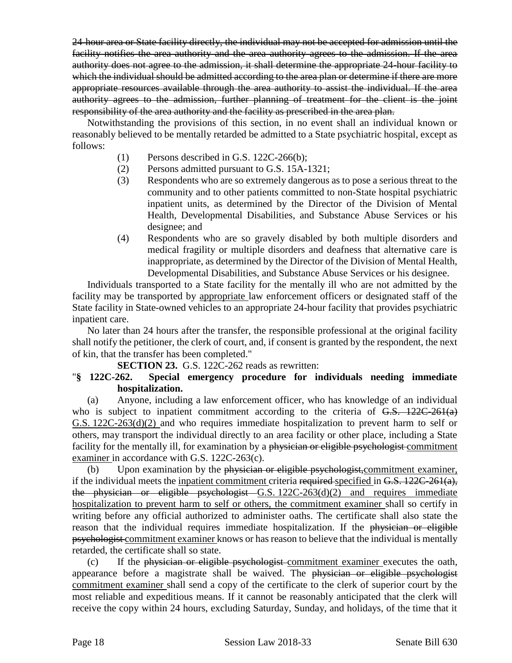24-hour area or State facility directly, the individual may not be accepted for admission until the facility notifies the area authority and the area authority agrees to the admission. If the area authority does not agree to the admission, it shall determine the appropriate 24-hour facility to which the individual should be admitted according to the area plan or determine if there are more appropriate resources available through the area authority to assist the individual. If the area authority agrees to the admission, further planning of treatment for the client is the joint responsibility of the area authority and the facility as prescribed in the area plan.

Notwithstanding the provisions of this section, in no event shall an individual known or reasonably believed to be mentally retarded be admitted to a State psychiatric hospital, except as follows:

- (1) Persons described in G.S. 122C-266(b);
- (2) Persons admitted pursuant to G.S. 15A-1321;
- (3) Respondents who are so extremely dangerous as to pose a serious threat to the community and to other patients committed to non-State hospital psychiatric inpatient units, as determined by the Director of the Division of Mental Health, Developmental Disabilities, and Substance Abuse Services or his designee; and
- (4) Respondents who are so gravely disabled by both multiple disorders and medical fragility or multiple disorders and deafness that alternative care is inappropriate, as determined by the Director of the Division of Mental Health, Developmental Disabilities, and Substance Abuse Services or his designee.

Individuals transported to a State facility for the mentally ill who are not admitted by the facility may be transported by appropriate law enforcement officers or designated staff of the State facility in State-owned vehicles to an appropriate 24-hour facility that provides psychiatric inpatient care.

No later than 24 hours after the transfer, the responsible professional at the original facility shall notify the petitioner, the clerk of court, and, if consent is granted by the respondent, the next of kin, that the transfer has been completed."

#### **SECTION 23.** G.S. 122C-262 reads as rewritten:

# "**§ 122C-262. Special emergency procedure for individuals needing immediate hospitalization.**

(a) Anyone, including a law enforcement officer, who has knowledge of an individual who is subject to inpatient commitment according to the criteria of  $G.S.$  122C-261(a) G.S. 122C-263(d)(2) and who requires immediate hospitalization to prevent harm to self or others, may transport the individual directly to an area facility or other place, including a State facility for the mentally ill, for examination by a physician or eligible psychologist commitment examiner in accordance with G.S. 122C-263(c).

(b) Upon examination by the physician or eligible psychologist, commitment examiner, if the individual meets the inpatient commitment criteria required specified in G.S. 122C-261(a), the physician or eligible psychologist G.S. 122C-263(d)(2) and requires immediate hospitalization to prevent harm to self or others, the commitment examiner shall so certify in writing before any official authorized to administer oaths. The certificate shall also state the reason that the individual requires immediate hospitalization. If the physician or eligible psychologist commitment examiner knows or has reason to believe that the individual is mentally retarded, the certificate shall so state.

(c) If the physician or eligible psychologist commitment examiner executes the oath, appearance before a magistrate shall be waived. The physician or eligible psychologist commitment examiner shall send a copy of the certificate to the clerk of superior court by the most reliable and expeditious means. If it cannot be reasonably anticipated that the clerk will receive the copy within 24 hours, excluding Saturday, Sunday, and holidays, of the time that it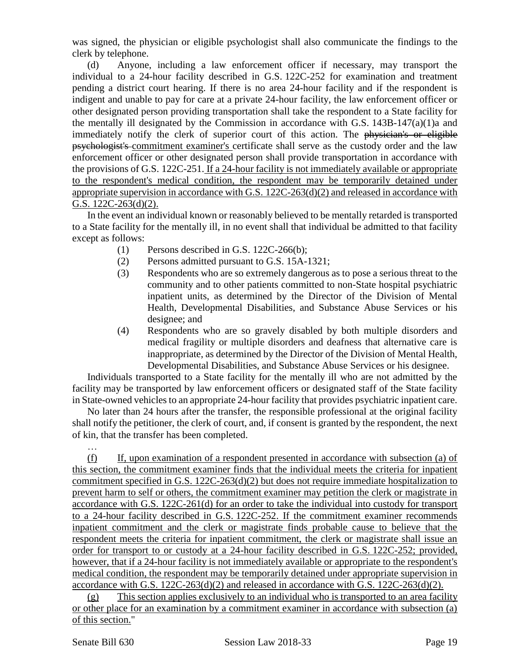was signed, the physician or eligible psychologist shall also communicate the findings to the clerk by telephone.

(d) Anyone, including a law enforcement officer if necessary, may transport the individual to a 24-hour facility described in G.S. 122C-252 for examination and treatment pending a district court hearing. If there is no area 24-hour facility and if the respondent is indigent and unable to pay for care at a private 24-hour facility, the law enforcement officer or other designated person providing transportation shall take the respondent to a State facility for the mentally ill designated by the Commission in accordance with G.S. 143B-147(a)(1)a and immediately notify the clerk of superior court of this action. The physician's or eligible psychologist's commitment examiner's certificate shall serve as the custody order and the law enforcement officer or other designated person shall provide transportation in accordance with the provisions of G.S. 122C-251. If a 24-hour facility is not immediately available or appropriate to the respondent's medical condition, the respondent may be temporarily detained under appropriate supervision in accordance with G.S. 122C-263(d)(2) and released in accordance with G.S. 122C-263(d)(2).

In the event an individual known or reasonably believed to be mentally retarded is transported to a State facility for the mentally ill, in no event shall that individual be admitted to that facility except as follows:

- (1) Persons described in G.S. 122C-266(b);
- (2) Persons admitted pursuant to G.S. 15A-1321;
- (3) Respondents who are so extremely dangerous as to pose a serious threat to the community and to other patients committed to non-State hospital psychiatric inpatient units, as determined by the Director of the Division of Mental Health, Developmental Disabilities, and Substance Abuse Services or his designee; and
- (4) Respondents who are so gravely disabled by both multiple disorders and medical fragility or multiple disorders and deafness that alternative care is inappropriate, as determined by the Director of the Division of Mental Health, Developmental Disabilities, and Substance Abuse Services or his designee.

Individuals transported to a State facility for the mentally ill who are not admitted by the facility may be transported by law enforcement officers or designated staff of the State facility in State-owned vehicles to an appropriate 24-hour facility that provides psychiatric inpatient care.

No later than 24 hours after the transfer, the responsible professional at the original facility shall notify the petitioner, the clerk of court, and, if consent is granted by the respondent, the next of kin, that the transfer has been completed.

(f) If, upon examination of a respondent presented in accordance with subsection (a) of this section, the commitment examiner finds that the individual meets the criteria for inpatient commitment specified in G.S. 122C-263(d)(2) but does not require immediate hospitalization to prevent harm to self or others, the commitment examiner may petition the clerk or magistrate in accordance with G.S. 122C-261(d) for an order to take the individual into custody for transport to a 24-hour facility described in G.S. 122C-252. If the commitment examiner recommends inpatient commitment and the clerk or magistrate finds probable cause to believe that the respondent meets the criteria for inpatient commitment, the clerk or magistrate shall issue an order for transport to or custody at a 24-hour facility described in G.S. 122C-252; provided, however, that if a 24-hour facility is not immediately available or appropriate to the respondent's medical condition, the respondent may be temporarily detained under appropriate supervision in accordance with G.S.  $122C-263(d)(2)$  and released in accordance with G.S.  $122C-263(d)(2)$ .

(g) This section applies exclusively to an individual who is transported to an area facility or other place for an examination by a commitment examiner in accordance with subsection (a) of this section."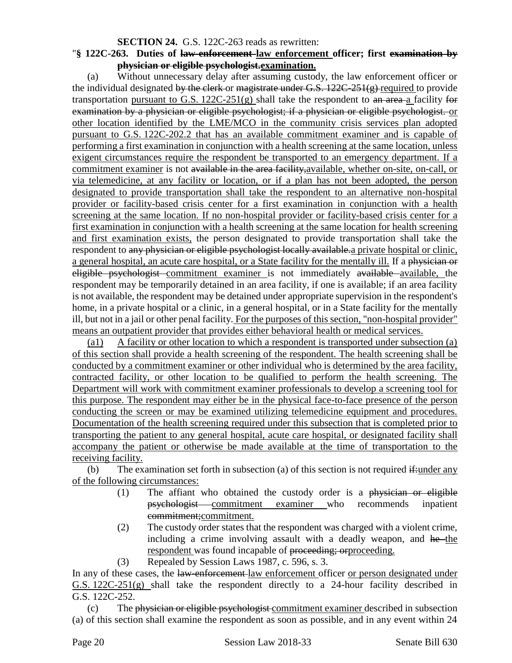#### **SECTION 24.** G.S. 122C-263 reads as rewritten:

#### "**§ 122C-263. Duties of law-enforcement law enforcement officer; first examination by physician or eligible psychologist.examination.**

(a) Without unnecessary delay after assuming custody, the law enforcement officer or the individual designated by the clerk or magistrate under G.S.  $122C-251(g)$  required to provide transportation pursuant to G.S.  $122C-251(g)$  shall take the respondent to an area a facility for examination by a physician or eligible psychologist; if a physician or eligible psychologist. or other location identified by the LME/MCO in the community crisis services plan adopted pursuant to G.S. 122C-202.2 that has an available commitment examiner and is capable of performing a first examination in conjunction with a health screening at the same location, unless exigent circumstances require the respondent be transported to an emergency department. If a commitment examiner is not available in the area facility, available, whether on-site, on-call, or via telemedicine, at any facility or location, or if a plan has not been adopted, the person designated to provide transportation shall take the respondent to an alternative non-hospital provider or facility-based crisis center for a first examination in conjunction with a health screening at the same location. If no non-hospital provider or facility-based crisis center for a first examination in conjunction with a health screening at the same location for health screening and first examination exists, the person designated to provide transportation shall take the respondent to any physician or eligible psychologist locally available. a private hospital or clinic, a general hospital, an acute care hospital, or a State facility for the mentally ill. If a physician or eligible psychologist commitment examiner is not immediately available available, the respondent may be temporarily detained in an area facility, if one is available; if an area facility is not available, the respondent may be detained under appropriate supervision in the respondent's home, in a private hospital or a clinic, in a general hospital, or in a State facility for the mentally ill, but not in a jail or other penal facility. For the purposes of this section, "non-hospital provider" means an outpatient provider that provides either behavioral health or medical services.

(a1) A facility or other location to which a respondent is transported under subsection (a) of this section shall provide a health screening of the respondent. The health screening shall be conducted by a commitment examiner or other individual who is determined by the area facility, contracted facility, or other location to be qualified to perform the health screening. The Department will work with commitment examiner professionals to develop a screening tool for this purpose. The respondent may either be in the physical face-to-face presence of the person conducting the screen or may be examined utilizing telemedicine equipment and procedures. Documentation of the health screening required under this subsection that is completed prior to transporting the patient to any general hospital, acute care hospital, or designated facility shall accompany the patient or otherwise be made available at the time of transportation to the receiving facility.

(b) The examination set forth in subsection (a) of this section is not required  $\frac{d}{dx}$ under any of the following circumstances:

- (1) The affiant who obtained the custody order is a physician or eligible psychologist commitment examiner who recommends inpatient commitment;commitment.
- (2) The custody order states that the respondent was charged with a violent crime, including a crime involving assault with a deadly weapon, and he the respondent was found incapable of proceeding; orproceeding.
- (3) Repealed by Session Laws 1987, c. 596, s. 3.

In any of these cases, the law-enforcement-law enforcement officer or person designated under G.S. 122C-251(g) shall take the respondent directly to a 24-hour facility described in G.S. 122C-252.

(c) The physician or eligible psychologist commitment examiner described in subsection (a) of this section shall examine the respondent as soon as possible, and in any event within 24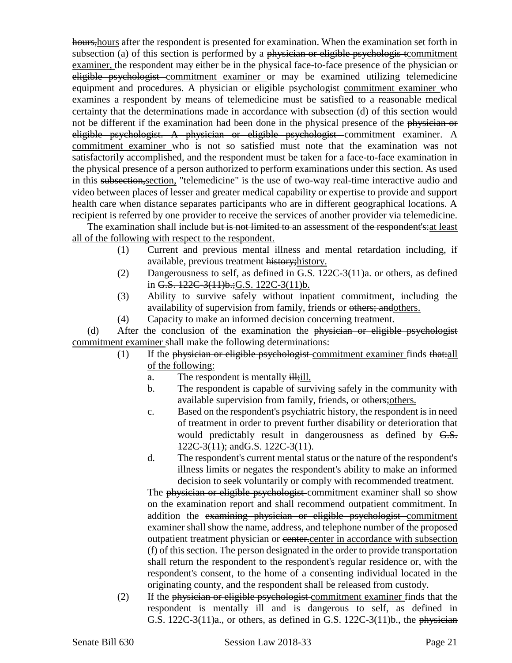hours, hours after the respondent is presented for examination. When the examination set forth in subsection (a) of this section is performed by a physician or eligible psychologis tcommitment examiner, the respondent may either be in the physical face-to-face presence of the physician or eligible psychologist commitment examiner or may be examined utilizing telemedicine equipment and procedures. A physician or eligible psychologist commitment examiner who examines a respondent by means of telemedicine must be satisfied to a reasonable medical certainty that the determinations made in accordance with subsection (d) of this section would not be different if the examination had been done in the physical presence of the physician or eligible psychologist. A physician or eligible psychologist commitment examiner. A commitment examiner who is not so satisfied must note that the examination was not satisfactorily accomplished, and the respondent must be taken for a face-to-face examination in the physical presence of a person authorized to perform examinations under this section. As used in this subsection,section, "telemedicine" is the use of two-way real-time interactive audio and video between places of lesser and greater medical capability or expertise to provide and support health care when distance separates participants who are in different geographical locations. A recipient is referred by one provider to receive the services of another provider via telemedicine.

The examination shall include but is not limited to an assessment of the respondent's: at least all of the following with respect to the respondent.

- (1) Current and previous mental illness and mental retardation including, if available, previous treatment history; history.
- (2) Dangerousness to self, as defined in G.S. 122C-3(11)a. or others, as defined in G.S.  $122C-3(11)b$ .; G.S.  $122C-3(11)b$ .
- (3) Ability to survive safely without inpatient commitment, including the availability of supervision from family, friends or others; andothers.
- (4) Capacity to make an informed decision concerning treatment.

(d) After the conclusion of the examination the physician or eligible psychologist commitment examiner shall make the following determinations:

- (1) If the physician or eligible psychologist commitment examiner finds that:all of the following:
	- a. The respondent is mentally  $\frac{d}{dt}$ ; ill.
	- b. The respondent is capable of surviving safely in the community with available supervision from family, friends, or others;others.
	- c. Based on the respondent's psychiatric history, the respondent is in need of treatment in order to prevent further disability or deterioration that would predictably result in dangerousness as defined by G.S. 122C-3(11); and G.S. 122C-3(11).
	- d. The respondent's current mental status or the nature of the respondent's illness limits or negates the respondent's ability to make an informed decision to seek voluntarily or comply with recommended treatment.

The physician or eligible psychologist commitment examiner shall so show on the examination report and shall recommend outpatient commitment. In addition the examining physician or eligible psychologist commitment examiner shall show the name, address, and telephone number of the proposed outpatient treatment physician or eenter-center in accordance with subsection (f) of this section. The person designated in the order to provide transportation shall return the respondent to the respondent's regular residence or, with the respondent's consent, to the home of a consenting individual located in the originating county, and the respondent shall be released from custody.

(2) If the physician or eligible psychologist commitment examiner finds that the respondent is mentally ill and is dangerous to self, as defined in G.S. 122C-3(11)a., or others, as defined in G.S. 122C-3(11)b., the physician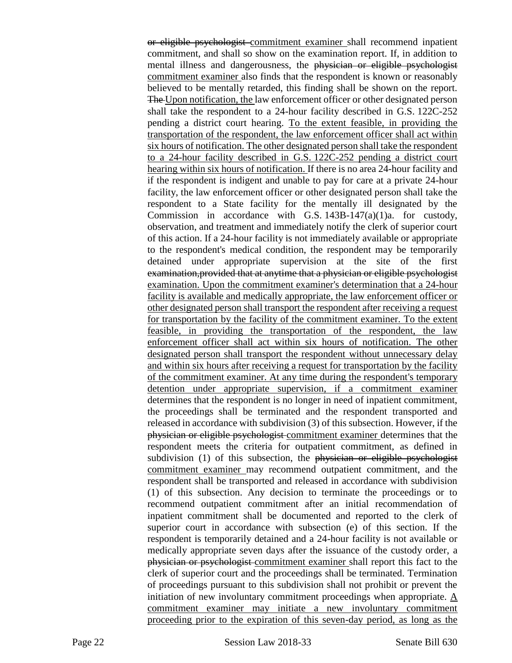or eligible psychologist commitment examiner shall recommend inpatient commitment, and shall so show on the examination report. If, in addition to mental illness and dangerousness, the physician or eligible psychologist commitment examiner also finds that the respondent is known or reasonably believed to be mentally retarded, this finding shall be shown on the report. The Upon notification, the law enforcement officer or other designated person shall take the respondent to a 24-hour facility described in G.S. 122C-252 pending a district court hearing. To the extent feasible, in providing the transportation of the respondent, the law enforcement officer shall act within six hours of notification. The other designated person shall take the respondent to a 24-hour facility described in G.S. 122C-252 pending a district court hearing within six hours of notification. If there is no area 24-hour facility and if the respondent is indigent and unable to pay for care at a private 24-hour facility, the law enforcement officer or other designated person shall take the respondent to a State facility for the mentally ill designated by the Commission in accordance with G.S. 143B-147(a)(1)a. for custody, observation, and treatment and immediately notify the clerk of superior court of this action. If a 24-hour facility is not immediately available or appropriate to the respondent's medical condition, the respondent may be temporarily detained under appropriate supervision at the site of the first examination,provided that at anytime that a physician or eligible psychologist examination. Upon the commitment examiner's determination that a 24-hour facility is available and medically appropriate, the law enforcement officer or other designated person shall transport the respondent after receiving a request for transportation by the facility of the commitment examiner. To the extent feasible, in providing the transportation of the respondent, the law enforcement officer shall act within six hours of notification. The other designated person shall transport the respondent without unnecessary delay and within six hours after receiving a request for transportation by the facility of the commitment examiner. At any time during the respondent's temporary detention under appropriate supervision, if a commitment examiner determines that the respondent is no longer in need of inpatient commitment, the proceedings shall be terminated and the respondent transported and released in accordance with subdivision (3) of this subsection. However, if the physician or eligible psychologist commitment examiner determines that the respondent meets the criteria for outpatient commitment, as defined in subdivision (1) of this subsection, the physician or eligible psychologist commitment examiner may recommend outpatient commitment, and the respondent shall be transported and released in accordance with subdivision (1) of this subsection. Any decision to terminate the proceedings or to recommend outpatient commitment after an initial recommendation of inpatient commitment shall be documented and reported to the clerk of superior court in accordance with subsection (e) of this section. If the respondent is temporarily detained and a 24-hour facility is not available or medically appropriate seven days after the issuance of the custody order, a physician or psychologist commitment examiner shall report this fact to the clerk of superior court and the proceedings shall be terminated. Termination of proceedings pursuant to this subdivision shall not prohibit or prevent the initiation of new involuntary commitment proceedings when appropriate. A commitment examiner may initiate a new involuntary commitment proceeding prior to the expiration of this seven-day period, as long as the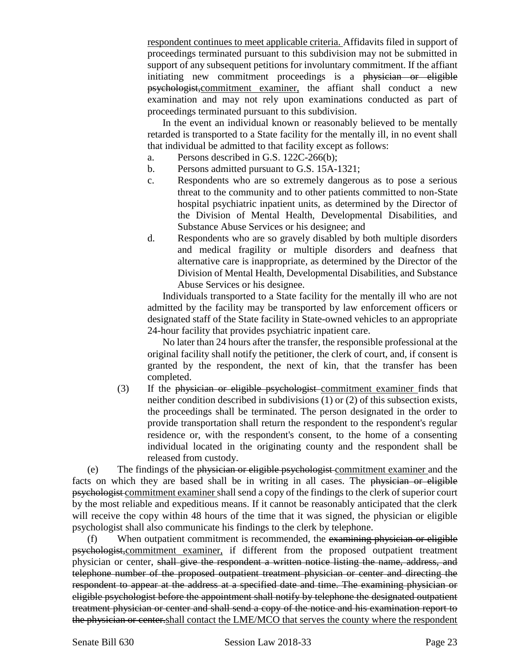respondent continues to meet applicable criteria. Affidavits filed in support of proceedings terminated pursuant to this subdivision may not be submitted in support of any subsequent petitions for involuntary commitment. If the affiant initiating new commitment proceedings is a physician or eligible psychologist,commitment examiner, the affiant shall conduct a new examination and may not rely upon examinations conducted as part of proceedings terminated pursuant to this subdivision.

In the event an individual known or reasonably believed to be mentally retarded is transported to a State facility for the mentally ill, in no event shall that individual be admitted to that facility except as follows:

- a. Persons described in G.S. 122C-266(b);
- b. Persons admitted pursuant to G.S. 15A-1321;
- c. Respondents who are so extremely dangerous as to pose a serious threat to the community and to other patients committed to non-State hospital psychiatric inpatient units, as determined by the Director of the Division of Mental Health, Developmental Disabilities, and Substance Abuse Services or his designee; and
- d. Respondents who are so gravely disabled by both multiple disorders and medical fragility or multiple disorders and deafness that alternative care is inappropriate, as determined by the Director of the Division of Mental Health, Developmental Disabilities, and Substance Abuse Services or his designee.

Individuals transported to a State facility for the mentally ill who are not admitted by the facility may be transported by law enforcement officers or designated staff of the State facility in State-owned vehicles to an appropriate 24-hour facility that provides psychiatric inpatient care.

No later than 24 hours after the transfer, the responsible professional at the original facility shall notify the petitioner, the clerk of court, and, if consent is granted by the respondent, the next of kin, that the transfer has been completed.

(3) If the physician or eligible psychologist commitment examiner finds that neither condition described in subdivisions (1) or (2) of this subsection exists, the proceedings shall be terminated. The person designated in the order to provide transportation shall return the respondent to the respondent's regular residence or, with the respondent's consent, to the home of a consenting individual located in the originating county and the respondent shall be released from custody.

(e) The findings of the physician or eligible psychologist commitment examiner and the facts on which they are based shall be in writing in all cases. The physician or eligible psychologist commitment examiner shall send a copy of the findings to the clerk of superior court by the most reliable and expeditious means. If it cannot be reasonably anticipated that the clerk will receive the copy within 48 hours of the time that it was signed, the physician or eligible psychologist shall also communicate his findings to the clerk by telephone.

(f) When outpatient commitment is recommended, the examining physician or eligible psychologist,commitment examiner, if different from the proposed outpatient treatment physician or center, shall give the respondent a written notice listing the name, address, and telephone number of the proposed outpatient treatment physician or center and directing the respondent to appear at the address at a specified date and time. The examining physician or eligible psychologist before the appointment shall notify by telephone the designated outpatient treatment physician or center and shall send a copy of the notice and his examination report to the physician or center.shall contact the LME/MCO that serves the county where the respondent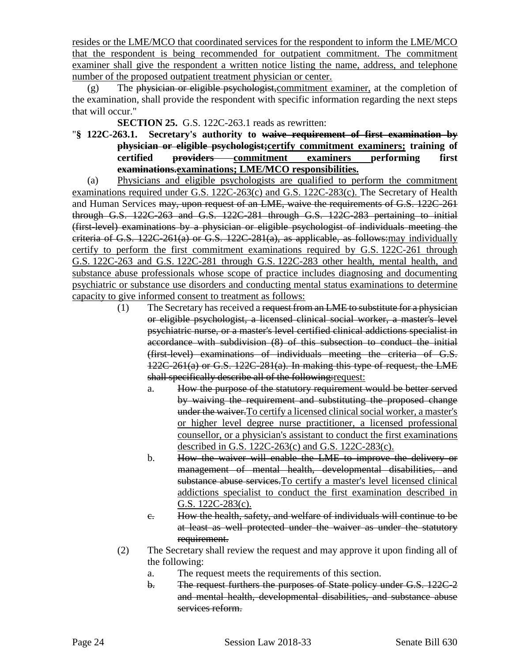resides or the LME/MCO that coordinated services for the respondent to inform the LME/MCO that the respondent is being recommended for outpatient commitment. The commitment examiner shall give the respondent a written notice listing the name, address, and telephone number of the proposed outpatient treatment physician or center.

(g) The physician or eligible psychologist,commitment examiner, at the completion of the examination, shall provide the respondent with specific information regarding the next steps that will occur."

**SECTION 25.** G.S. 122C-263.1 reads as rewritten:

"**§ 122C-263.1. Secretary's authority to waive requirement of first examination by physician or eligible psychologist;certify commitment examiners; training of certified providers commitment examiners performing first examinations.examinations; LME/MCO responsibilities.**

(a) Physicians and eligible psychologists are qualified to perform the commitment examinations required under G.S. 122C-263(c) and G.S. 122C-283(c). The Secretary of Health and Human Services may, upon request of an LME, waive the requirements of G.S. 122C-261 through G.S. 122C-263 and G.S. 122C-281 through G.S. 122C-283 pertaining to initial (first-level) examinations by a physician or eligible psychologist of individuals meeting the criteria of G.S. 122C-261(a) or G.S. 122C-281(a), as applicable, as follows: may individually certify to perform the first commitment examinations required by G.S. 122C-261 through G.S. 122C-263 and G.S. 122C-281 through G.S. 122C-283 other health, mental health, and substance abuse professionals whose scope of practice includes diagnosing and documenting psychiatric or substance use disorders and conducting mental status examinations to determine capacity to give informed consent to treatment as follows:

- (1) The Secretary has received a request from an LME to substitute for a physician or eligible psychologist, a licensed clinical social worker, a master's level psychiatric nurse, or a master's level certified clinical addictions specialist in accordance with subdivision (8) of this subsection to conduct the initial (first-level) examinations of individuals meeting the criteria of G.S.  $122C-261(a)$  or G.S.  $122C-281(a)$ . In making this type of request, the LME shall specifically describe all of the following: request:
	- a. How the purpose of the statutory requirement would be better served by waiving the requirement and substituting the proposed change under the waiver. To certify a licensed clinical social worker, a master's or higher level degree nurse practitioner, a licensed professional counsellor, or a physician's assistant to conduct the first examinations described in G.S. 122C-263(c) and G.S. 122C-283(c).
	- b. How the waiver will enable the LME to improve the delivery or management of mental health, developmental disabilities, and substance abuse services. To certify a master's level licensed clinical addictions specialist to conduct the first examination described in G.S. 122C-283(c).
	- c. How the health, safety, and welfare of individuals will continue to be at least as well protected under the waiver as under the statutory requirement.
- (2) The Secretary shall review the request and may approve it upon finding all of the following:
	- a. The request meets the requirements of this section.
	- b. The request furthers the purposes of State policy under G.S. 122C-2 and mental health, developmental disabilities, and substance abuse services reform.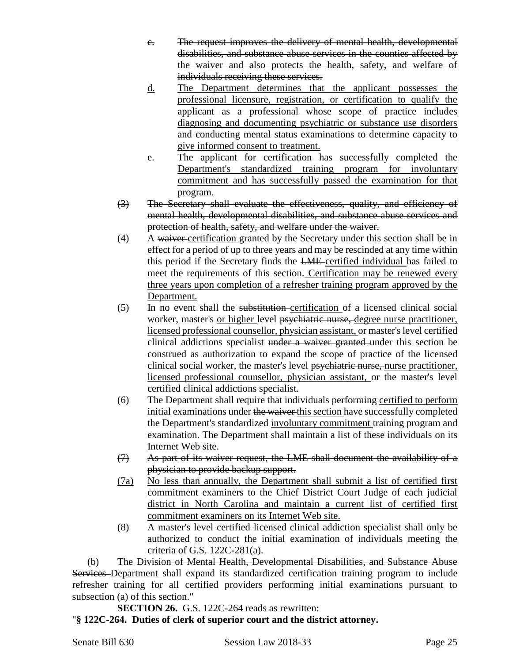- c. The request improves the delivery of mental health, developmental disabilities, and substance abuse services in the counties affected by the waiver and also protects the health, safety, and welfare of individuals receiving these services.
- d. The Department determines that the applicant possesses the professional licensure, registration, or certification to qualify the applicant as a professional whose scope of practice includes diagnosing and documenting psychiatric or substance use disorders and conducting mental status examinations to determine capacity to give informed consent to treatment.
- e. The applicant for certification has successfully completed the Department's standardized training program for involuntary commitment and has successfully passed the examination for that program.
- (3) The Secretary shall evaluate the effectiveness, quality, and efficiency of mental health, developmental disabilities, and substance abuse services and protection of health, safety, and welfare under the waiver.
- (4) A waiver certification granted by the Secretary under this section shall be in effect for a period of up to three years and may be rescinded at any time within this period if the Secretary finds the LME certified individual has failed to meet the requirements of this section. Certification may be renewed every three years upon completion of a refresher training program approved by the Department.
- (5) In no event shall the substitution certification of a licensed clinical social worker, master's or higher level psychiatric nurse, degree nurse practitioner, licensed professional counsellor, physician assistant, or master's level certified clinical addictions specialist under a waiver granted under this section be construed as authorization to expand the scope of practice of the licensed clinical social worker, the master's level psychiatric nurse, nurse practitioner, licensed professional counsellor, physician assistant, or the master's level certified clinical addictions specialist.
- (6) The Department shall require that individuals performing certified to perform initial examinations under the waiver this section have successfully completed the Department's standardized involuntary commitment training program and examination. The Department shall maintain a list of these individuals on its Internet Web site.
- (7) As part of its waiver request, the LME shall document the availability of a physician to provide backup support.
- (7a) No less than annually, the Department shall submit a list of certified first commitment examiners to the Chief District Court Judge of each judicial district in North Carolina and maintain a current list of certified first commitment examiners on its Internet Web site.
- (8) A master's level certified licensed clinical addiction specialist shall only be authorized to conduct the initial examination of individuals meeting the criteria of G.S. 122C-281(a).

(b) The Division of Mental Health, Developmental Disabilities, and Substance Abuse Services Department shall expand its standardized certification training program to include refresher training for all certified providers performing initial examinations pursuant to subsection (a) of this section."

**SECTION 26.** G.S. 122C-264 reads as rewritten:

"**§ 122C-264. Duties of clerk of superior court and the district attorney.**

Senate Bill 630 Session Law 2018-33 Page 25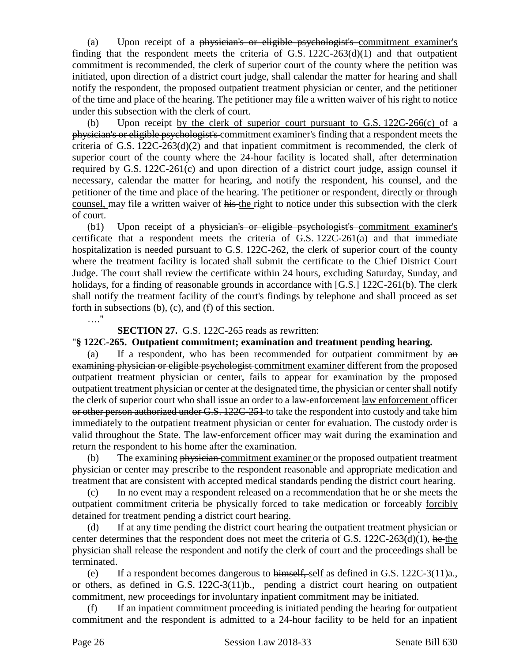(a) Upon receipt of a physician's or eligible psychologist's commitment examiner's finding that the respondent meets the criteria of G.S.  $122C-263(d)(1)$  and that outpatient commitment is recommended, the clerk of superior court of the county where the petition was initiated, upon direction of a district court judge, shall calendar the matter for hearing and shall notify the respondent, the proposed outpatient treatment physician or center, and the petitioner of the time and place of the hearing. The petitioner may file a written waiver of his right to notice under this subsection with the clerk of court.

(b) Upon receipt by the clerk of superior court pursuant to G.S. 122C-266(c) of a physician's or eligible psychologist's commitment examiner's finding that a respondent meets the criteria of G.S.  $122C-263(d)(2)$  and that inpatient commitment is recommended, the clerk of superior court of the county where the 24-hour facility is located shall, after determination required by G.S. 122C-261(c) and upon direction of a district court judge, assign counsel if necessary, calendar the matter for hearing, and notify the respondent, his counsel, and the petitioner of the time and place of the hearing. The petitioner or respondent, directly or through counsel, may file a written waiver of his the right to notice under this subsection with the clerk of court.

(b1) Upon receipt of a physician's or eligible psychologist's commitment examiner's certificate that a respondent meets the criteria of G.S. 122C-261(a) and that immediate hospitalization is needed pursuant to G.S. 122C-262, the clerk of superior court of the county where the treatment facility is located shall submit the certificate to the Chief District Court Judge. The court shall review the certificate within 24 hours, excluding Saturday, Sunday, and holidays, for a finding of reasonable grounds in accordance with [G.S.] 122C-261(b). The clerk shall notify the treatment facility of the court's findings by telephone and shall proceed as set forth in subsections (b), (c), and (f) of this section.

…."

**SECTION 27.** G.S. 122C-265 reads as rewritten:

#### "**§ 122C-265. Outpatient commitment; examination and treatment pending hearing.**

(a) If a respondent, who has been recommended for outpatient commitment by  $a_n$ examining physician or eligible psychologist commitment examiner different from the proposed outpatient treatment physician or center, fails to appear for examination by the proposed outpatient treatment physician or center at the designated time, the physician or center shall notify the clerk of superior court who shall issue an order to a law-enforcement-law enforcement officer or other person authorized under G.S. 122C-251 to take the respondent into custody and take him immediately to the outpatient treatment physician or center for evaluation. The custody order is valid throughout the State. The law-enforcement officer may wait during the examination and return the respondent to his home after the examination.

(b) The examining physician commitment examiner or the proposed outpatient treatment physician or center may prescribe to the respondent reasonable and appropriate medication and treatment that are consistent with accepted medical standards pending the district court hearing.

(c) In no event may a respondent released on a recommendation that he or she meets the outpatient commitment criteria be physically forced to take medication or forceably-forcibly detained for treatment pending a district court hearing.

(d) If at any time pending the district court hearing the outpatient treatment physician or center determines that the respondent does not meet the criteria of G.S.  $122C-263(d)(1)$ , he the physician shall release the respondent and notify the clerk of court and the proceedings shall be terminated.

(e) If a respondent becomes dangerous to himself, self as defined in G.S. 122C-3(11)a., or others, as defined in G.S. 122C-3(11)b., pending a district court hearing on outpatient commitment, new proceedings for involuntary inpatient commitment may be initiated.

(f) If an inpatient commitment proceeding is initiated pending the hearing for outpatient commitment and the respondent is admitted to a 24-hour facility to be held for an inpatient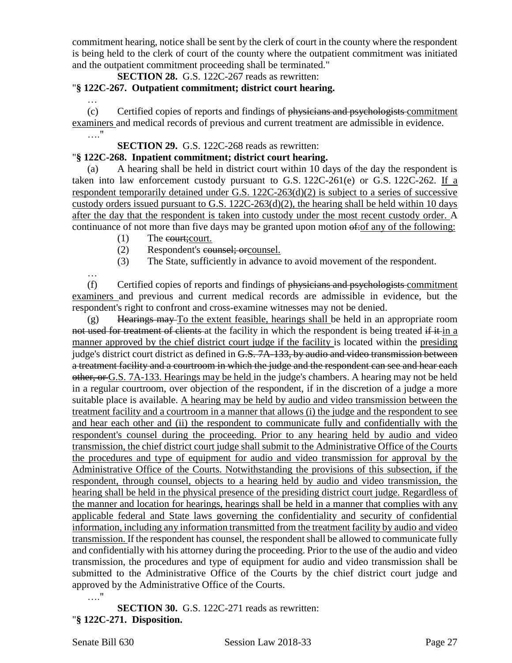commitment hearing, notice shall be sent by the clerk of court in the county where the respondent is being held to the clerk of court of the county where the outpatient commitment was initiated and the outpatient commitment proceeding shall be terminated."

**SECTION 28.** G.S. 122C-267 reads as rewritten:

#### "**§ 122C-267. Outpatient commitment; district court hearing.**

… (c) Certified copies of reports and findings of physicians and psychologists commitment examiners and medical records of previous and current treatment are admissible in evidence. …."

### **SECTION 29.** G.S. 122C-268 reads as rewritten:

#### "**§ 122C-268. Inpatient commitment; district court hearing.**

(a) A hearing shall be held in district court within 10 days of the day the respondent is taken into law enforcement custody pursuant to G.S. 122C-261(e) or G.S. 122C-262. If a respondent temporarily detained under G.S. 122C-263(d)(2) is subject to a series of successive custody orders issued pursuant to G.S. 122C-263(d)(2), the hearing shall be held within 10 days after the day that the respondent is taken into custody under the most recent custody order. A continuance of not more than five days may be granted upon motion  $\theta$  for any of the following:

 $(1)$  The e<del>ourt;</del>court.

…

- (2) Respondent's counsel; orcounsel.
- (3) The State, sufficiently in advance to avoid movement of the respondent.

(f) Certified copies of reports and findings of physicians and psychologists commitment examiners and previous and current medical records are admissible in evidence, but the respondent's right to confront and cross-examine witnesses may not be denied.

(g) Hearings may To the extent feasible, hearings shall be held in an appropriate room not used for treatment of clients at the facility in which the respondent is being treated if it in a manner approved by the chief district court judge if the facility is located within the presiding judge's district court district as defined in G.S. 7A-133, by audio and video transmission between a treatment facility and a courtroom in which the judge and the respondent can see and hear each other, or G.S. 7A-133. Hearings may be held in the judge's chambers. A hearing may not be held in a regular courtroom, over objection of the respondent, if in the discretion of a judge a more suitable place is available. A hearing may be held by audio and video transmission between the treatment facility and a courtroom in a manner that allows (i) the judge and the respondent to see and hear each other and (ii) the respondent to communicate fully and confidentially with the respondent's counsel during the proceeding. Prior to any hearing held by audio and video transmission, the chief district court judge shall submit to the Administrative Office of the Courts the procedures and type of equipment for audio and video transmission for approval by the Administrative Office of the Courts. Notwithstanding the provisions of this subsection, if the respondent, through counsel, objects to a hearing held by audio and video transmission, the hearing shall be held in the physical presence of the presiding district court judge. Regardless of the manner and location for hearings, hearings shall be held in a manner that complies with any applicable federal and State laws governing the confidentiality and security of confidential information, including any information transmitted from the treatment facility by audio and video transmission. If the respondent has counsel, the respondent shall be allowed to communicate fully and confidentially with his attorney during the proceeding. Prior to the use of the audio and video transmission, the procedures and type of equipment for audio and video transmission shall be submitted to the Administrative Office of the Courts by the chief district court judge and approved by the Administrative Office of the Courts. …."

**SECTION 30.** G.S. 122C-271 reads as rewritten: "**§ 122C-271. Disposition.**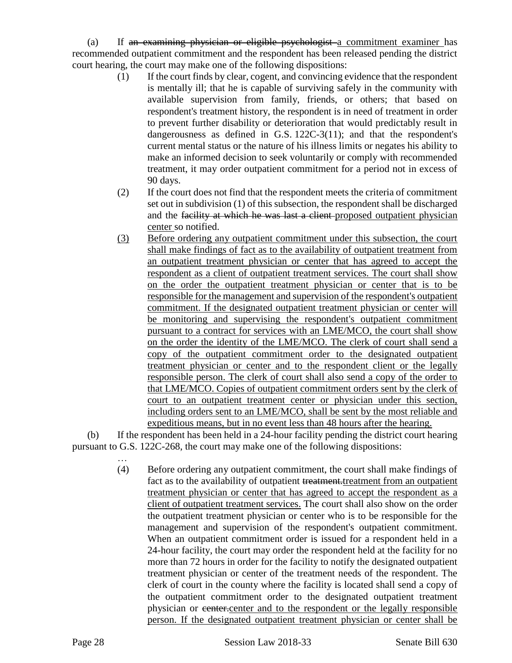(a) If an examining physician or eligible psychologist a commitment examiner has recommended outpatient commitment and the respondent has been released pending the district court hearing, the court may make one of the following dispositions:

- (1) If the court finds by clear, cogent, and convincing evidence that the respondent is mentally ill; that he is capable of surviving safely in the community with available supervision from family, friends, or others; that based on respondent's treatment history, the respondent is in need of treatment in order to prevent further disability or deterioration that would predictably result in dangerousness as defined in G.S. 122C-3(11); and that the respondent's current mental status or the nature of his illness limits or negates his ability to make an informed decision to seek voluntarily or comply with recommended treatment, it may order outpatient commitment for a period not in excess of 90 days.
- (2) If the court does not find that the respondent meets the criteria of commitment set out in subdivision (1) of this subsection, the respondent shall be discharged and the facility at which he was last a client-proposed outpatient physician center so notified.
- (3) Before ordering any outpatient commitment under this subsection, the court shall make findings of fact as to the availability of outpatient treatment from an outpatient treatment physician or center that has agreed to accept the respondent as a client of outpatient treatment services. The court shall show on the order the outpatient treatment physician or center that is to be responsible for the management and supervision of the respondent's outpatient commitment. If the designated outpatient treatment physician or center will be monitoring and supervising the respondent's outpatient commitment pursuant to a contract for services with an LME/MCO, the court shall show on the order the identity of the LME/MCO. The clerk of court shall send a copy of the outpatient commitment order to the designated outpatient treatment physician or center and to the respondent client or the legally responsible person. The clerk of court shall also send a copy of the order to that LME/MCO. Copies of outpatient commitment orders sent by the clerk of court to an outpatient treatment center or physician under this section, including orders sent to an LME/MCO, shall be sent by the most reliable and expeditious means, but in no event less than 48 hours after the hearing.

(b) If the respondent has been held in a 24-hour facility pending the district court hearing pursuant to G.S. 122C-268, the court may make one of the following dispositions:

- …
- (4) Before ordering any outpatient commitment, the court shall make findings of fact as to the availability of outpatient treatment.treatment from an outpatient treatment physician or center that has agreed to accept the respondent as a client of outpatient treatment services. The court shall also show on the order the outpatient treatment physician or center who is to be responsible for the management and supervision of the respondent's outpatient commitment. When an outpatient commitment order is issued for a respondent held in a 24-hour facility, the court may order the respondent held at the facility for no more than 72 hours in order for the facility to notify the designated outpatient treatment physician or center of the treatment needs of the respondent. The clerk of court in the county where the facility is located shall send a copy of the outpatient commitment order to the designated outpatient treatment physician or center.center and to the respondent or the legally responsible person. If the designated outpatient treatment physician or center shall be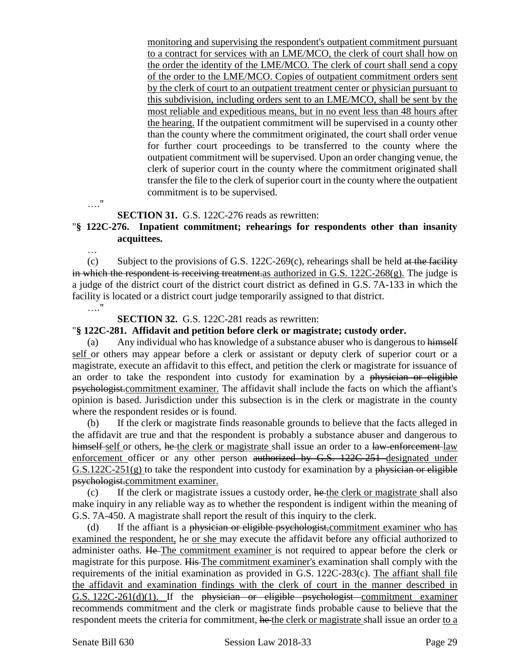monitoring and supervising the respondent's outpatient commitment pursuant to a contract for services with an LME/MCO, the clerk of court shall how on the order the identity of the LME/MCO. The clerk of court shall send a copy of the order to the LME/MCO. Copies of outpatient commitment orders sent by the clerk of court to an outpatient treatment center or physician pursuant to this subdivision, including orders sent to an LME/MCO, shall be sent by the most reliable and expeditious means, but in no event less than 48 hours after the hearing. If the outpatient commitment will be supervised in a county other than the county where the commitment originated, the court shall order venue for further court proceedings to be transferred to the county where the outpatient commitment will be supervised. Upon an order changing venue, the clerk of superior court in the county where the commitment originated shall transfer the file to the clerk of superior court in the county where the outpatient commitment is to be supervised.

## **SECTION 31.** G.S. 122C-276 reads as rewritten:

# "**§ 122C-276. Inpatient commitment; rehearings for respondents other than insanity acquittees.**

(c) Subject to the provisions of G.S. 122C-269 $(c)$ , rehearings shall be held at the facility in which the respondent is receiving treatment as authorized in G.S. 122C-268(g). The judge is a judge of the district court of the district court district as defined in G.S. 7A-133 in which the facility is located or a district court judge temporarily assigned to that district.  $\frac{1}{2}$ .  $\frac{1}{2}$ 

**SECTION 32.** G.S. 122C-281 reads as rewritten:

#### "**§ 122C-281. Affidavit and petition before clerk or magistrate; custody order.**

(a) Any individual who has knowledge of a substance abuser who is dangerous to himself self or others may appear before a clerk or assistant or deputy clerk of superior court or a magistrate, execute an affidavit to this effect, and petition the clerk or magistrate for issuance of an order to take the respondent into custody for examination by a physician or eligible psychologist.commitment examiner. The affidavit shall include the facts on which the affiant's opinion is based. Jurisdiction under this subsection is in the clerk or magistrate in the county where the respondent resides or is found.

(b) If the clerk or magistrate finds reasonable grounds to believe that the facts alleged in the affidavit are true and that the respondent is probably a substance abuser and dangerous to himself-self or others, he the clerk or magistrate shall issue an order to a law-enforcement-law enforcement officer or any other person authorized by G.S. 122C-251 designated under  $G.S.122C-251(g)$  to take the respondent into custody for examination by a physician or eligible psychologist.commitment examiner.

(c) If the clerk or magistrate issues a custody order, he the clerk or magistrate shall also make inquiry in any reliable way as to whether the respondent is indigent within the meaning of G.S. 7A-450. A magistrate shall report the result of this inquiry to the clerk.

(d) If the affiant is a physician or eligible psychologist, commitment examiner who has examined the respondent, he or she may execute the affidavit before any official authorized to administer oaths. He The commitment examiner is not required to appear before the clerk or magistrate for this purpose. His The commitment examiner's examination shall comply with the requirements of the initial examination as provided in G.S. 122C-283(c). The affiant shall file the affidavit and examination findings with the clerk of court in the manner described in G.S.  $122C-261(d)(1)$ . If the physician or eligible psychologist commitment examiner recommends commitment and the clerk or magistrate finds probable cause to believe that the respondent meets the criteria for commitment, he the clerk or magistrate shall issue an order to a

…."

…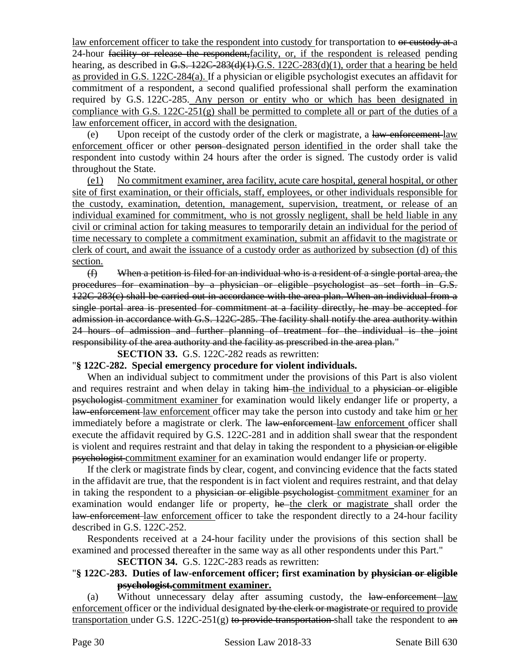law enforcement officer to take the respondent into custody for transportation to <del>or custody at a</del> 24-hour facility or release the respondent, facility, or, if the respondent is released pending hearing, as described in G.S. 122C-283(d)(1).G.S. 122C-283(d)(1), order that a hearing be held as provided in G.S. 122C-284(a). If a physician or eligible psychologist executes an affidavit for commitment of a respondent, a second qualified professional shall perform the examination required by G.S. 122C-285. Any person or entity who or which has been designated in compliance with G.S. 122C-251(g) shall be permitted to complete all or part of the duties of a law enforcement officer, in accord with the designation.

(e) Upon receipt of the custody order of the clerk or magistrate, a law-enforcement law enforcement officer or other person designated person identified in the order shall take the respondent into custody within 24 hours after the order is signed. The custody order is valid throughout the State.

(e1) No commitment examiner, area facility, acute care hospital, general hospital, or other site of first examination, or their officials, staff, employees, or other individuals responsible for the custody, examination, detention, management, supervision, treatment, or release of an individual examined for commitment, who is not grossly negligent, shall be held liable in any civil or criminal action for taking measures to temporarily detain an individual for the period of time necessary to complete a commitment examination, submit an affidavit to the magistrate or clerk of court, and await the issuance of a custody order as authorized by subsection (d) of this section.

(f) When a petition is filed for an individual who is a resident of a single portal area, the procedures for examination by a physician or eligible psychologist as set forth in G.S. 122C-283(c) shall be carried out in accordance with the area plan. When an individual from a single portal area is presented for commitment at a facility directly, he may be accepted for admission in accordance with G.S. 122C-285. The facility shall notify the area authority within 24 hours of admission and further planning of treatment for the individual is the joint responsibility of the area authority and the facility as prescribed in the area plan."

**SECTION 33.** G.S. 122C-282 reads as rewritten:

#### "**§ 122C-282. Special emergency procedure for violent individuals.**

When an individual subject to commitment under the provisions of this Part is also violent and requires restraint and when delay in taking him the individual to a physician or eligible psychologist commitment examiner for examination would likely endanger life or property, a law-enforcement law enforcement officer may take the person into custody and take him or her immediately before a magistrate or clerk. The law-enforcement-law enforcement officer shall execute the affidavit required by G.S. 122C-281 and in addition shall swear that the respondent is violent and requires restraint and that delay in taking the respondent to a physician or eligible psychologist commitment examiner for an examination would endanger life or property.

If the clerk or magistrate finds by clear, cogent, and convincing evidence that the facts stated in the affidavit are true, that the respondent is in fact violent and requires restraint, and that delay in taking the respondent to a physician or eligible psychologist commitment examiner for an examination would endanger life or property, he the clerk or magistrate shall order the law enforcement law enforcement officer to take the respondent directly to a 24-hour facility described in G.S. 122C-252.

Respondents received at a 24-hour facility under the provisions of this section shall be examined and processed thereafter in the same way as all other respondents under this Part."

**SECTION 34.** G.S. 122C-283 reads as rewritten:

## "**§ 122C-283. Duties of law-enforcement officer; first examination by physician or eligible psychologist.commitment examiner.**

(a) Without unnecessary delay after assuming custody, the law-enforcement-law enforcement officer or the individual designated by the clerk or magistrate or required to provide transportation under G.S.  $122C-251(g)$  to provide transportation shall take the respondent to an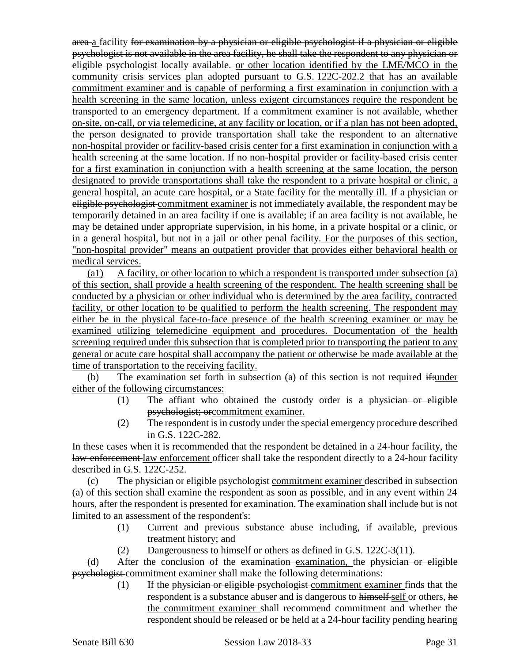area a facility for examination by a physician or eligible psychologist if a physician or eligible psychologist is not available in the area facility, he shall take the respondent to any physician or eligible psychologist locally available. or other location identified by the LME/MCO in the community crisis services plan adopted pursuant to G.S. 122C-202.2 that has an available commitment examiner and is capable of performing a first examination in conjunction with a health screening in the same location, unless exigent circumstances require the respondent be transported to an emergency department. If a commitment examiner is not available, whether on-site, on-call, or via telemedicine, at any facility or location, or if a plan has not been adopted, the person designated to provide transportation shall take the respondent to an alternative non-hospital provider or facility-based crisis center for a first examination in conjunction with a health screening at the same location. If no non-hospital provider or facility-based crisis center for a first examination in conjunction with a health screening at the same location, the person designated to provide transportations shall take the respondent to a private hospital or clinic, a general hospital, an acute care hospital, or a State facility for the mentally ill. If a physician or eligible psychologist commitment examiner is not immediately available, the respondent may be temporarily detained in an area facility if one is available; if an area facility is not available, he may be detained under appropriate supervision, in his home, in a private hospital or a clinic, or in a general hospital, but not in a jail or other penal facility. For the purposes of this section, "non-hospital provider" means an outpatient provider that provides either behavioral health or medical services.

(a1) A facility, or other location to which a respondent is transported under subsection (a) of this section, shall provide a health screening of the respondent. The health screening shall be conducted by a physician or other individual who is determined by the area facility, contracted facility, or other location to be qualified to perform the health screening. The respondent may either be in the physical face-to-face presence of the health screening examiner or may be examined utilizing telemedicine equipment and procedures. Documentation of the health screening required under this subsection that is completed prior to transporting the patient to any general or acute care hospital shall accompany the patient or otherwise be made available at the time of transportation to the receiving facility.

(b) The examination set forth in subsection (a) of this section is not required  $\frac{d}{dx}$  if: under either of the following circumstances:

- (1) The affiant who obtained the custody order is a physician or eligible psychologist; orcommitment examiner.
- (2) The respondent is in custody under the special emergency procedure described in G.S. 122C-282.

In these cases when it is recommended that the respondent be detained in a 24-hour facility, the law-enforcement law enforcement officer shall take the respondent directly to a 24-hour facility described in G.S. 122C-252.

(c) The physician or eligible psychologist commitment examiner described in subsection (a) of this section shall examine the respondent as soon as possible, and in any event within 24 hours, after the respondent is presented for examination. The examination shall include but is not limited to an assessment of the respondent's:

- (1) Current and previous substance abuse including, if available, previous treatment history; and
- (2) Dangerousness to himself or others as defined in G.S. 122C-3(11).

(d) After the conclusion of the examination examination, the physician or eligible psychologist commitment examiner shall make the following determinations:

> (1) If the physician or eligible psychologist commitment examiner finds that the respondent is a substance abuser and is dangerous to himself-self or others, he the commitment examiner shall recommend commitment and whether the respondent should be released or be held at a 24-hour facility pending hearing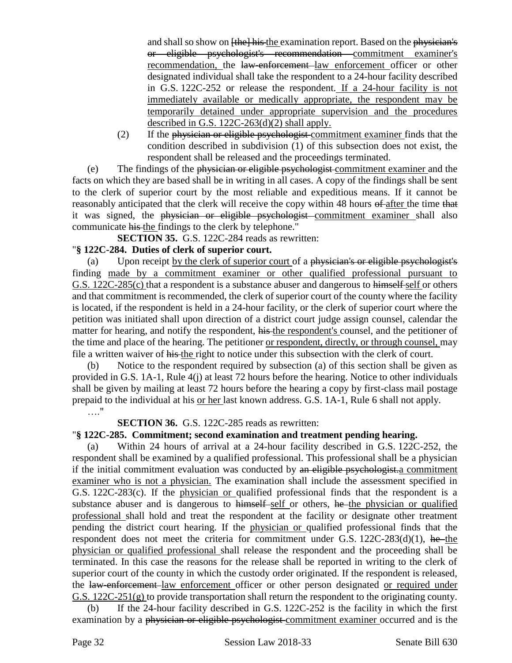and shall so show on  $\frac{f_{th}}{h}$  his the examination report. Based on the physician's or eligible psychologist's recommendation commitment examiner's recommendation, the law-enforcement-law enforcement officer or other designated individual shall take the respondent to a 24-hour facility described in G.S. 122C-252 or release the respondent. If a 24-hour facility is not immediately available or medically appropriate, the respondent may be temporarily detained under appropriate supervision and the procedures described in G.S.  $122C-263(d)(2)$  shall apply.

(2) If the physician or eligible psychologist commitment examiner finds that the condition described in subdivision (1) of this subsection does not exist, the respondent shall be released and the proceedings terminated.

(e) The findings of the physician or eligible psychologist commitment examiner and the facts on which they are based shall be in writing in all cases. A copy of the findings shall be sent to the clerk of superior court by the most reliable and expeditious means. If it cannot be reasonably anticipated that the clerk will receive the copy within 48 hours of after the time that it was signed, the physician or eligible psychologist commitment examiner shall also communicate his the findings to the clerk by telephone."

**SECTION 35.** G.S. 122C-284 reads as rewritten:

# "**§ 122C-284. Duties of clerk of superior court.**

(a) Upon receipt by the clerk of superior court of a physician's or eligible psychologist's finding made by a commitment examiner or other qualified professional pursuant to G.S. 122C-285(c) that a respondent is a substance abuser and dangerous to himself self or others and that commitment is recommended, the clerk of superior court of the county where the facility is located, if the respondent is held in a 24-hour facility, or the clerk of superior court where the petition was initiated shall upon direction of a district court judge assign counsel, calendar the matter for hearing, and notify the respondent, his the respondent's counsel, and the petitioner of the time and place of the hearing. The petitioner or respondent, directly, or through counsel, may file a written waiver of his the right to notice under this subsection with the clerk of court.

(b) Notice to the respondent required by subsection (a) of this section shall be given as provided in G.S. 1A-1, Rule 4(j) at least 72 hours before the hearing. Notice to other individuals shall be given by mailing at least 72 hours before the hearing a copy by first-class mail postage prepaid to the individual at his or her last known address. G.S. 1A-1, Rule 6 shall not apply. …."

# **SECTION 36.** G.S. 122C-285 reads as rewritten:

# "**§ 122C-285. Commitment; second examination and treatment pending hearing.**

(a) Within 24 hours of arrival at a 24-hour facility described in G.S. 122C-252, the respondent shall be examined by a qualified professional. This professional shall be a physician if the initial commitment evaluation was conducted by an eligible psychologist.a commitment examiner who is not a physician. The examination shall include the assessment specified in G.S. 122C-283(c). If the physician or qualified professional finds that the respondent is a substance abuser and is dangerous to himself self or others, he the physician or qualified professional shall hold and treat the respondent at the facility or designate other treatment pending the district court hearing. If the physician or qualified professional finds that the respondent does not meet the criteria for commitment under G.S.  $122C-283(d)(1)$ , he the physician or qualified professional shall release the respondent and the proceeding shall be terminated. In this case the reasons for the release shall be reported in writing to the clerk of superior court of the county in which the custody order originated. If the respondent is released, the law-enforcement law enforcement officer or other person designated or required under G.S. 122C-251(g) to provide transportation shall return the respondent to the originating county.

(b) If the 24-hour facility described in G.S. 122C-252 is the facility in which the first examination by a physician or eligible psychologist commitment examiner occurred and is the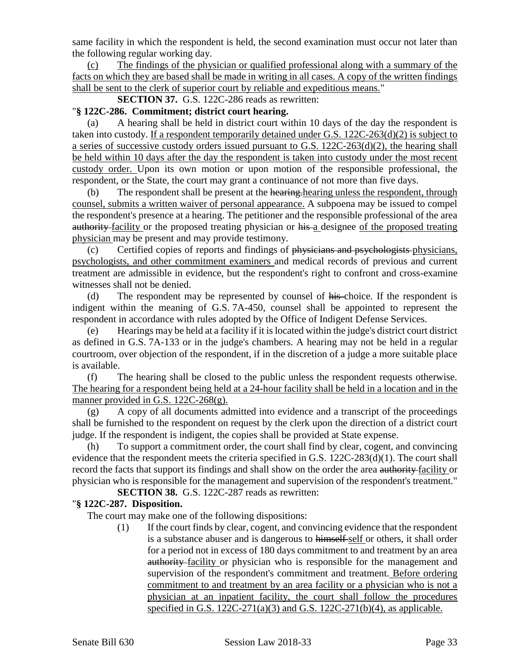same facility in which the respondent is held, the second examination must occur not later than the following regular working day.

(c) The findings of the physician or qualified professional along with a summary of the facts on which they are based shall be made in writing in all cases. A copy of the written findings shall be sent to the clerk of superior court by reliable and expeditious means."

**SECTION 37.** G.S. 122C-286 reads as rewritten:

## "**§ 122C-286. Commitment; district court hearing.**

(a) A hearing shall be held in district court within 10 days of the day the respondent is taken into custody. If a respondent temporarily detained under G.S. 122C-263(d)(2) is subject to a series of successive custody orders issued pursuant to G.S. 122C-263(d)(2), the hearing shall be held within 10 days after the day the respondent is taken into custody under the most recent custody order. Upon its own motion or upon motion of the responsible professional, the respondent, or the State, the court may grant a continuance of not more than five days.

(b) The respondent shall be present at the hearing-hearing unless the respondent, through counsel, submits a written waiver of personal appearance. A subpoena may be issued to compel the respondent's presence at a hearing. The petitioner and the responsible professional of the area authority facility or the proposed treating physician or his a designee of the proposed treating physician may be present and may provide testimony.

(c) Certified copies of reports and findings of physicians and psychologists physicians, psychologists, and other commitment examiners and medical records of previous and current treatment are admissible in evidence, but the respondent's right to confront and cross-examine witnesses shall not be denied.

(d) The respondent may be represented by counsel of his choice. If the respondent is indigent within the meaning of G.S. 7A-450, counsel shall be appointed to represent the respondent in accordance with rules adopted by the Office of Indigent Defense Services.

(e) Hearings may be held at a facility if it is located within the judge's district court district as defined in G.S. 7A-133 or in the judge's chambers. A hearing may not be held in a regular courtroom, over objection of the respondent, if in the discretion of a judge a more suitable place is available.

(f) The hearing shall be closed to the public unless the respondent requests otherwise. The hearing for a respondent being held at a 24-hour facility shall be held in a location and in the manner provided in G.S. 122C-268(g).

 $(g)$  A copy of all documents admitted into evidence and a transcript of the proceedings shall be furnished to the respondent on request by the clerk upon the direction of a district court judge. If the respondent is indigent, the copies shall be provided at State expense.

(h) To support a commitment order, the court shall find by clear, cogent, and convincing evidence that the respondent meets the criteria specified in G.S. 122C-283(d)(1). The court shall record the facts that support its findings and shall show on the order the area authority-facility or physician who is responsible for the management and supervision of the respondent's treatment."

**SECTION 38.** G.S. 122C-287 reads as rewritten:

# "**§ 122C-287. Disposition.**

The court may make one of the following dispositions:

(1) If the court finds by clear, cogent, and convincing evidence that the respondent is a substance abuser and is dangerous to himself self or others, it shall order for a period not in excess of 180 days commitment to and treatment by an area authority facility or physician who is responsible for the management and supervision of the respondent's commitment and treatment. Before ordering commitment to and treatment by an area facility or a physician who is not a physician at an inpatient facility, the court shall follow the procedures specified in G.S.  $122C-271(a)(3)$  and G.S.  $122C-271(b)(4)$ , as applicable.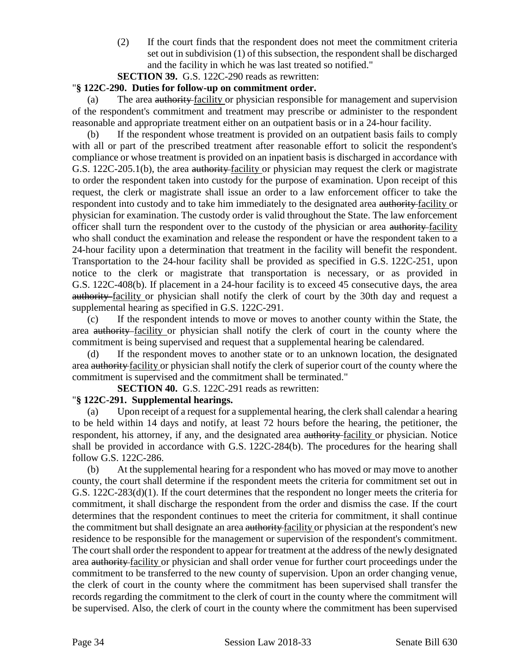- (2) If the court finds that the respondent does not meet the commitment criteria set out in subdivision (1) of this subsection, the respondent shall be discharged and the facility in which he was last treated so notified."
- **SECTION 39.** G.S. 122C-290 reads as rewritten:

## "**§ 122C-290. Duties for follow-up on commitment order.**

(a) The area authority facility or physician responsible for management and supervision of the respondent's commitment and treatment may prescribe or administer to the respondent reasonable and appropriate treatment either on an outpatient basis or in a 24-hour facility.

(b) If the respondent whose treatment is provided on an outpatient basis fails to comply with all or part of the prescribed treatment after reasonable effort to solicit the respondent's compliance or whose treatment is provided on an inpatient basis is discharged in accordance with G.S. 122C-205.1(b), the area authority facility or physician may request the clerk or magistrate to order the respondent taken into custody for the purpose of examination. Upon receipt of this request, the clerk or magistrate shall issue an order to a law enforcement officer to take the respondent into custody and to take him immediately to the designated area authority facility or physician for examination. The custody order is valid throughout the State. The law enforcement officer shall turn the respondent over to the custody of the physician or area authority facility who shall conduct the examination and release the respondent or have the respondent taken to a 24-hour facility upon a determination that treatment in the facility will benefit the respondent. Transportation to the 24-hour facility shall be provided as specified in G.S. 122C-251, upon notice to the clerk or magistrate that transportation is necessary, or as provided in G.S. 122C-408(b). If placement in a 24-hour facility is to exceed 45 consecutive days, the area authority facility or physician shall notify the clerk of court by the 30th day and request a supplemental hearing as specified in G.S. 122C-291.

(c) If the respondent intends to move or moves to another county within the State, the area authority facility or physician shall notify the clerk of court in the county where the commitment is being supervised and request that a supplemental hearing be calendared.

(d) If the respondent moves to another state or to an unknown location, the designated area authority facility or physician shall notify the clerk of superior court of the county where the commitment is supervised and the commitment shall be terminated."

**SECTION 40.** G.S. 122C-291 reads as rewritten:

#### "**§ 122C-291. Supplemental hearings.**

(a) Upon receipt of a request for a supplemental hearing, the clerk shall calendar a hearing to be held within 14 days and notify, at least 72 hours before the hearing, the petitioner, the respondent, his attorney, if any, and the designated area authority facility or physician. Notice shall be provided in accordance with G.S. 122C-284(b). The procedures for the hearing shall follow G.S. 122C-286.

(b) At the supplemental hearing for a respondent who has moved or may move to another county, the court shall determine if the respondent meets the criteria for commitment set out in G.S. 122C-283(d)(1). If the court determines that the respondent no longer meets the criteria for commitment, it shall discharge the respondent from the order and dismiss the case. If the court determines that the respondent continues to meet the criteria for commitment, it shall continue the commitment but shall designate an area authority facility or physician at the respondent's new residence to be responsible for the management or supervision of the respondent's commitment. The court shall order the respondent to appear for treatment at the address of the newly designated area authority facility or physician and shall order venue for further court proceedings under the commitment to be transferred to the new county of supervision. Upon an order changing venue, the clerk of court in the county where the commitment has been supervised shall transfer the records regarding the commitment to the clerk of court in the county where the commitment will be supervised. Also, the clerk of court in the county where the commitment has been supervised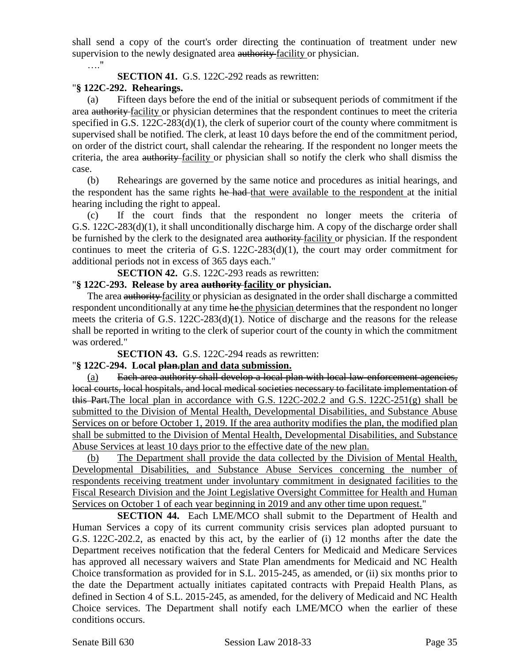shall send a copy of the court's order directing the continuation of treatment under new supervision to the newly designated area authority facility or physician.

…."

**SECTION 41.** G.S. 122C-292 reads as rewritten:

# "**§ 122C-292. Rehearings.**

(a) Fifteen days before the end of the initial or subsequent periods of commitment if the area authority facility or physician determines that the respondent continues to meet the criteria specified in G.S.  $122C-283(d)(1)$ , the clerk of superior court of the county where commitment is supervised shall be notified. The clerk, at least 10 days before the end of the commitment period, on order of the district court, shall calendar the rehearing. If the respondent no longer meets the criteria, the area authority facility or physician shall so notify the clerk who shall dismiss the case.

(b) Rehearings are governed by the same notice and procedures as initial hearings, and the respondent has the same rights he had-that were available to the respondent at the initial hearing including the right to appeal.

(c) If the court finds that the respondent no longer meets the criteria of G.S. 122C-283(d)(1), it shall unconditionally discharge him. A copy of the discharge order shall be furnished by the clerk to the designated area authority facility or physician. If the respondent continues to meet the criteria of G.S. 122C-283(d)(1), the court may order commitment for additional periods not in excess of 365 days each."

**SECTION 42.** G.S. 122C-293 reads as rewritten:

## "**§ 122C-293. Release by area authority facility or physician.**

The area authority facility or physician as designated in the order shall discharge a committed respondent unconditionally at any time he-the physician determines that the respondent no longer meets the criteria of G.S. 122C-283(d)(1). Notice of discharge and the reasons for the release shall be reported in writing to the clerk of superior court of the county in which the commitment was ordered."

**SECTION 43.** G.S. 122C-294 reads as rewritten:

# "**§ 122C-294. Local plan.plan and data submission.**

(a) Each area authority shall develop a local plan with local law-enforcement agencies, local courts, local hospitals, and local medical societies necessary to facilitate implementation of this Part.The local plan in accordance with G.S. 122C-202.2 and G.S. 122C-251(g) shall be submitted to the Division of Mental Health, Developmental Disabilities, and Substance Abuse Services on or before October 1, 2019. If the area authority modifies the plan, the modified plan shall be submitted to the Division of Mental Health, Developmental Disabilities, and Substance Abuse Services at least 10 days prior to the effective date of the new plan.

(b) The Department shall provide the data collected by the Division of Mental Health, Developmental Disabilities, and Substance Abuse Services concerning the number of respondents receiving treatment under involuntary commitment in designated facilities to the Fiscal Research Division and the Joint Legislative Oversight Committee for Health and Human Services on October 1 of each year beginning in 2019 and any other time upon request."

**SECTION 44.** Each LME/MCO shall submit to the Department of Health and Human Services a copy of its current community crisis services plan adopted pursuant to G.S. 122C-202.2, as enacted by this act, by the earlier of (i) 12 months after the date the Department receives notification that the federal Centers for Medicaid and Medicare Services has approved all necessary waivers and State Plan amendments for Medicaid and NC Health Choice transformation as provided for in S.L. 2015-245, as amended, or (ii) six months prior to the date the Department actually initiates capitated contracts with Prepaid Health Plans, as defined in Section 4 of S.L. 2015-245, as amended, for the delivery of Medicaid and NC Health Choice services. The Department shall notify each LME/MCO when the earlier of these conditions occurs.